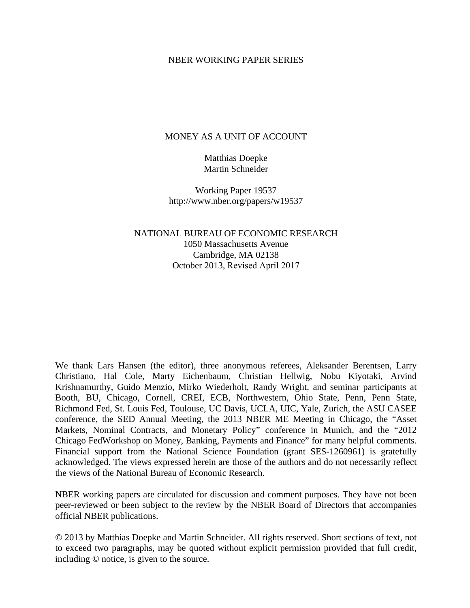#### NBER WORKING PAPER SERIES

#### MONEY AS A UNIT OF ACCOUNT

Matthias Doepke Martin Schneider

Working Paper 19537 http://www.nber.org/papers/w19537

NATIONAL BUREAU OF ECONOMIC RESEARCH 1050 Massachusetts Avenue Cambridge, MA 02138 October 2013, Revised April 2017

We thank Lars Hansen (the editor), three anonymous referees, Aleksander Berentsen, Larry Christiano, Hal Cole, Marty Eichenbaum, Christian Hellwig, Nobu Kiyotaki, Arvind Krishnamurthy, Guido Menzio, Mirko Wiederholt, Randy Wright, and seminar participants at Booth, BU, Chicago, Cornell, CREI, ECB, Northwestern, Ohio State, Penn, Penn State, Richmond Fed, St. Louis Fed, Toulouse, UC Davis, UCLA, UIC, Yale, Zurich, the ASU CASEE conference, the SED Annual Meeting, the 2013 NBER ME Meeting in Chicago, the "Asset Markets, Nominal Contracts, and Monetary Policy" conference in Munich, and the "2012 Chicago FedWorkshop on Money, Banking, Payments and Finance" for many helpful comments. Financial support from the National Science Foundation (grant SES-1260961) is gratefully acknowledged. The views expressed herein are those of the authors and do not necessarily reflect the views of the National Bureau of Economic Research.

NBER working papers are circulated for discussion and comment purposes. They have not been peer-reviewed or been subject to the review by the NBER Board of Directors that accompanies official NBER publications.

© 2013 by Matthias Doepke and Martin Schneider. All rights reserved. Short sections of text, not to exceed two paragraphs, may be quoted without explicit permission provided that full credit, including © notice, is given to the source.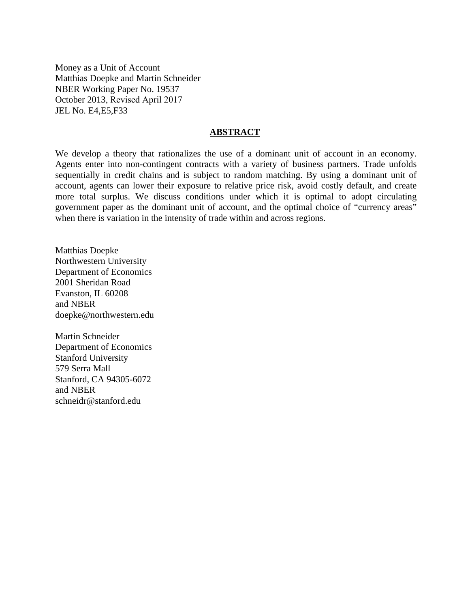Money as a Unit of Account Matthias Doepke and Martin Schneider NBER Working Paper No. 19537 October 2013, Revised April 2017 JEL No. E4,E5,F33

#### **ABSTRACT**

We develop a theory that rationalizes the use of a dominant unit of account in an economy. Agents enter into non-contingent contracts with a variety of business partners. Trade unfolds sequentially in credit chains and is subject to random matching. By using a dominant unit of account, agents can lower their exposure to relative price risk, avoid costly default, and create more total surplus. We discuss conditions under which it is optimal to adopt circulating government paper as the dominant unit of account, and the optimal choice of "currency areas" when there is variation in the intensity of trade within and across regions.

Matthias Doepke Northwestern University Department of Economics 2001 Sheridan Road Evanston, IL 60208 and NBER doepke@northwestern.edu

Martin Schneider Department of Economics Stanford University 579 Serra Mall Stanford, CA 94305-6072 and NBER schneidr@stanford.edu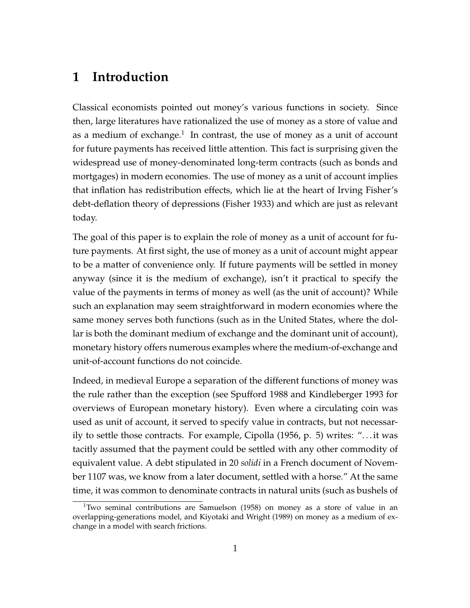## **1 Introduction**

Classical economists pointed out money's various functions in society. Since then, large literatures have rationalized the use of money as a store of value and as a medium of exchange. $^1$  In contrast, the use of money as a unit of account for future payments has received little attention. This fact is surprising given the widespread use of money-denominated long-term contracts (such as bonds and mortgages) in modern economies. The use of money as a unit of account implies that inflation has redistribution effects, which lie at the heart of Irving Fisher's debt-deflation theory of depressions (Fisher 1933) and which are just as relevant today.

The goal of this paper is to explain the role of money as a unit of account for future payments. At first sight, the use of money as a unit of account might appear to be a matter of convenience only. If future payments will be settled in money anyway (since it is the medium of exchange), isn't it practical to specify the value of the payments in terms of money as well (as the unit of account)? While such an explanation may seem straightforward in modern economies where the same money serves both functions (such as in the United States, where the dollar is both the dominant medium of exchange and the dominant unit of account), monetary history offers numerous examples where the medium-of-exchange and unit-of-account functions do not coincide.

Indeed, in medieval Europe a separation of the different functions of money was the rule rather than the exception (see Spufford 1988 and Kindleberger 1993 for overviews of European monetary history). Even where a circulating coin was used as unit of account, it served to specify value in contracts, but not necessarily to settle those contracts. For example, Cipolla (1956, p. 5) writes: ". . . it was tacitly assumed that the payment could be settled with any other commodity of equivalent value. A debt stipulated in 20 *solidi* in a French document of November 1107 was, we know from a later document, settled with a horse." At the same time, it was common to denominate contracts in natural units (such as bushels of

 $1$ Two seminal contributions are Samuelson (1958) on money as a store of value in an overlapping-generations model, and Kiyotaki and Wright (1989) on money as a medium of exchange in a model with search frictions.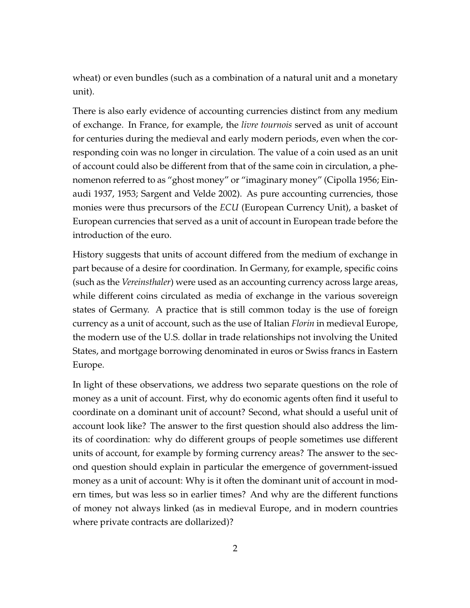wheat) or even bundles (such as a combination of a natural unit and a monetary unit).

There is also early evidence of accounting currencies distinct from any medium of exchange. In France, for example, the *livre tournois* served as unit of account for centuries during the medieval and early modern periods, even when the corresponding coin was no longer in circulation. The value of a coin used as an unit of account could also be different from that of the same coin in circulation, a phenomenon referred to as "ghost money" or "imaginary money" (Cipolla 1956; Einaudi 1937, 1953; Sargent and Velde 2002). As pure accounting currencies, those monies were thus precursors of the *ECU* (European Currency Unit), a basket of European currencies that served as a unit of account in European trade before the introduction of the euro.

History suggests that units of account differed from the medium of exchange in part because of a desire for coordination. In Germany, for example, specific coins (such as the *Vereinsthaler*) were used as an accounting currency across large areas, while different coins circulated as media of exchange in the various sovereign states of Germany. A practice that is still common today is the use of foreign currency as a unit of account, such as the use of Italian *Florin* in medieval Europe, the modern use of the U.S. dollar in trade relationships not involving the United States, and mortgage borrowing denominated in euros or Swiss francs in Eastern Europe.

In light of these observations, we address two separate questions on the role of money as a unit of account. First, why do economic agents often find it useful to coordinate on a dominant unit of account? Second, what should a useful unit of account look like? The answer to the first question should also address the limits of coordination: why do different groups of people sometimes use different units of account, for example by forming currency areas? The answer to the second question should explain in particular the emergence of government-issued money as a unit of account: Why is it often the dominant unit of account in modern times, but was less so in earlier times? And why are the different functions of money not always linked (as in medieval Europe, and in modern countries where private contracts are dollarized)?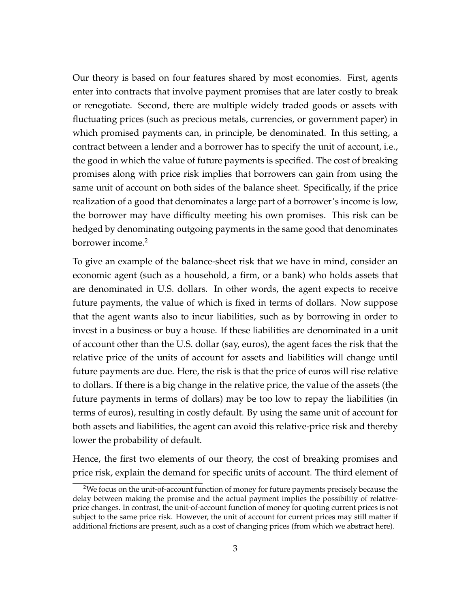Our theory is based on four features shared by most economies. First, agents enter into contracts that involve payment promises that are later costly to break or renegotiate. Second, there are multiple widely traded goods or assets with fluctuating prices (such as precious metals, currencies, or government paper) in which promised payments can, in principle, be denominated. In this setting, a contract between a lender and a borrower has to specify the unit of account, i.e., the good in which the value of future payments is specified. The cost of breaking promises along with price risk implies that borrowers can gain from using the same unit of account on both sides of the balance sheet. Specifically, if the price realization of a good that denominates a large part of a borrower's income is low, the borrower may have difficulty meeting his own promises. This risk can be hedged by denominating outgoing payments in the same good that denominates borrower income.<sup>2</sup>

To give an example of the balance-sheet risk that we have in mind, consider an economic agent (such as a household, a firm, or a bank) who holds assets that are denominated in U.S. dollars. In other words, the agent expects to receive future payments, the value of which is fixed in terms of dollars. Now suppose that the agent wants also to incur liabilities, such as by borrowing in order to invest in a business or buy a house. If these liabilities are denominated in a unit of account other than the U.S. dollar (say, euros), the agent faces the risk that the relative price of the units of account for assets and liabilities will change until future payments are due. Here, the risk is that the price of euros will rise relative to dollars. If there is a big change in the relative price, the value of the assets (the future payments in terms of dollars) may be too low to repay the liabilities (in terms of euros), resulting in costly default. By using the same unit of account for both assets and liabilities, the agent can avoid this relative-price risk and thereby lower the probability of default.

Hence, the first two elements of our theory, the cost of breaking promises and price risk, explain the demand for specific units of account. The third element of

 $2$ We focus on the unit-of-account function of money for future payments precisely because the delay between making the promise and the actual payment implies the possibility of relativeprice changes. In contrast, the unit-of-account function of money for quoting current prices is not subject to the same price risk. However, the unit of account for current prices may still matter if additional frictions are present, such as a cost of changing prices (from which we abstract here).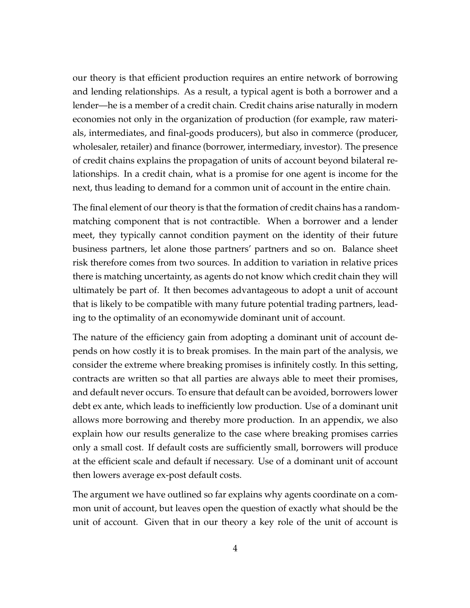our theory is that efficient production requires an entire network of borrowing and lending relationships. As a result, a typical agent is both a borrower and a lender—he is a member of a credit chain. Credit chains arise naturally in modern economies not only in the organization of production (for example, raw materials, intermediates, and final-goods producers), but also in commerce (producer, wholesaler, retailer) and finance (borrower, intermediary, investor). The presence of credit chains explains the propagation of units of account beyond bilateral relationships. In a credit chain, what is a promise for one agent is income for the next, thus leading to demand for a common unit of account in the entire chain.

The final element of our theory is that the formation of credit chains has a randommatching component that is not contractible. When a borrower and a lender meet, they typically cannot condition payment on the identity of their future business partners, let alone those partners' partners and so on. Balance sheet risk therefore comes from two sources. In addition to variation in relative prices there is matching uncertainty, as agents do not know which credit chain they will ultimately be part of. It then becomes advantageous to adopt a unit of account that is likely to be compatible with many future potential trading partners, leading to the optimality of an economywide dominant unit of account.

The nature of the efficiency gain from adopting a dominant unit of account depends on how costly it is to break promises. In the main part of the analysis, we consider the extreme where breaking promises is infinitely costly. In this setting, contracts are written so that all parties are always able to meet their promises, and default never occurs. To ensure that default can be avoided, borrowers lower debt ex ante, which leads to inefficiently low production. Use of a dominant unit allows more borrowing and thereby more production. In an appendix, we also explain how our results generalize to the case where breaking promises carries only a small cost. If default costs are sufficiently small, borrowers will produce at the efficient scale and default if necessary. Use of a dominant unit of account then lowers average ex-post default costs.

The argument we have outlined so far explains why agents coordinate on a common unit of account, but leaves open the question of exactly what should be the unit of account. Given that in our theory a key role of the unit of account is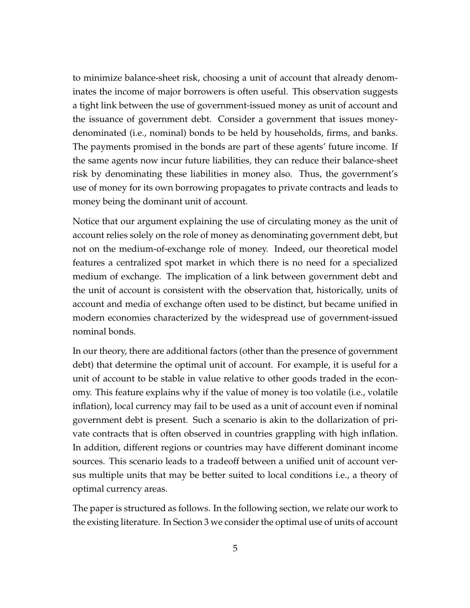to minimize balance-sheet risk, choosing a unit of account that already denominates the income of major borrowers is often useful. This observation suggests a tight link between the use of government-issued money as unit of account and the issuance of government debt. Consider a government that issues moneydenominated (i.e., nominal) bonds to be held by households, firms, and banks. The payments promised in the bonds are part of these agents' future income. If the same agents now incur future liabilities, they can reduce their balance-sheet risk by denominating these liabilities in money also. Thus, the government's use of money for its own borrowing propagates to private contracts and leads to money being the dominant unit of account.

Notice that our argument explaining the use of circulating money as the unit of account relies solely on the role of money as denominating government debt, but not on the medium-of-exchange role of money. Indeed, our theoretical model features a centralized spot market in which there is no need for a specialized medium of exchange. The implication of a link between government debt and the unit of account is consistent with the observation that, historically, units of account and media of exchange often used to be distinct, but became unified in modern economies characterized by the widespread use of government-issued nominal bonds.

In our theory, there are additional factors (other than the presence of government debt) that determine the optimal unit of account. For example, it is useful for a unit of account to be stable in value relative to other goods traded in the economy. This feature explains why if the value of money is too volatile (i.e., volatile inflation), local currency may fail to be used as a unit of account even if nominal government debt is present. Such a scenario is akin to the dollarization of private contracts that is often observed in countries grappling with high inflation. In addition, different regions or countries may have different dominant income sources. This scenario leads to a tradeoff between a unified unit of account versus multiple units that may be better suited to local conditions i.e., a theory of optimal currency areas.

The paper is structured as follows. In the following section, we relate our work to the existing literature. In Section 3 we consider the optimal use of units of account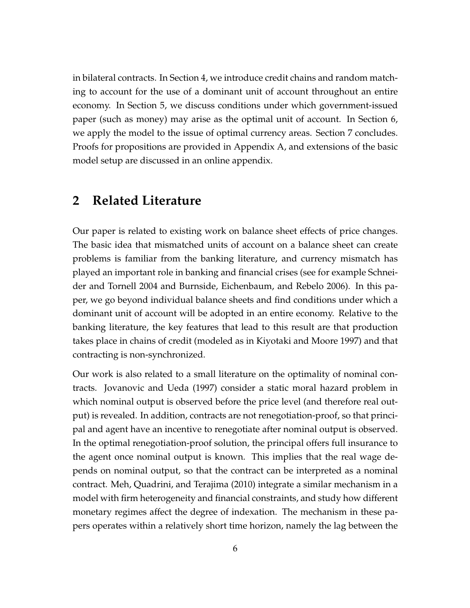in bilateral contracts. In Section 4, we introduce credit chains and random matching to account for the use of a dominant unit of account throughout an entire economy. In Section 5, we discuss conditions under which government-issued paper (such as money) may arise as the optimal unit of account. In Section 6, we apply the model to the issue of optimal currency areas. Section 7 concludes. Proofs for propositions are provided in Appendix A, and extensions of the basic model setup are discussed in an online appendix.

## **2 Related Literature**

Our paper is related to existing work on balance sheet effects of price changes. The basic idea that mismatched units of account on a balance sheet can create problems is familiar from the banking literature, and currency mismatch has played an important role in banking and financial crises (see for example Schneider and Tornell 2004 and Burnside, Eichenbaum, and Rebelo 2006). In this paper, we go beyond individual balance sheets and find conditions under which a dominant unit of account will be adopted in an entire economy. Relative to the banking literature, the key features that lead to this result are that production takes place in chains of credit (modeled as in Kiyotaki and Moore 1997) and that contracting is non-synchronized.

Our work is also related to a small literature on the optimality of nominal contracts. Jovanovic and Ueda (1997) consider a static moral hazard problem in which nominal output is observed before the price level (and therefore real output) is revealed. In addition, contracts are not renegotiation-proof, so that principal and agent have an incentive to renegotiate after nominal output is observed. In the optimal renegotiation-proof solution, the principal offers full insurance to the agent once nominal output is known. This implies that the real wage depends on nominal output, so that the contract can be interpreted as a nominal contract. Meh, Quadrini, and Terajima (2010) integrate a similar mechanism in a model with firm heterogeneity and financial constraints, and study how different monetary regimes affect the degree of indexation. The mechanism in these papers operates within a relatively short time horizon, namely the lag between the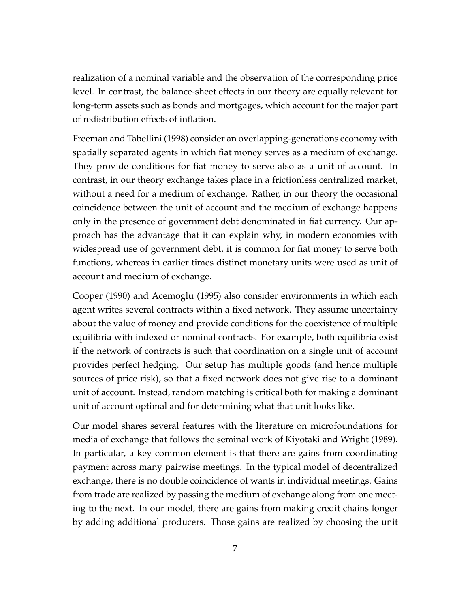realization of a nominal variable and the observation of the corresponding price level. In contrast, the balance-sheet effects in our theory are equally relevant for long-term assets such as bonds and mortgages, which account for the major part of redistribution effects of inflation.

Freeman and Tabellini (1998) consider an overlapping-generations economy with spatially separated agents in which fiat money serves as a medium of exchange. They provide conditions for fiat money to serve also as a unit of account. In contrast, in our theory exchange takes place in a frictionless centralized market, without a need for a medium of exchange. Rather, in our theory the occasional coincidence between the unit of account and the medium of exchange happens only in the presence of government debt denominated in fiat currency. Our approach has the advantage that it can explain why, in modern economies with widespread use of government debt, it is common for fiat money to serve both functions, whereas in earlier times distinct monetary units were used as unit of account and medium of exchange.

Cooper (1990) and Acemoglu (1995) also consider environments in which each agent writes several contracts within a fixed network. They assume uncertainty about the value of money and provide conditions for the coexistence of multiple equilibria with indexed or nominal contracts. For example, both equilibria exist if the network of contracts is such that coordination on a single unit of account provides perfect hedging. Our setup has multiple goods (and hence multiple sources of price risk), so that a fixed network does not give rise to a dominant unit of account. Instead, random matching is critical both for making a dominant unit of account optimal and for determining what that unit looks like.

Our model shares several features with the literature on microfoundations for media of exchange that follows the seminal work of Kiyotaki and Wright (1989). In particular, a key common element is that there are gains from coordinating payment across many pairwise meetings. In the typical model of decentralized exchange, there is no double coincidence of wants in individual meetings. Gains from trade are realized by passing the medium of exchange along from one meeting to the next. In our model, there are gains from making credit chains longer by adding additional producers. Those gains are realized by choosing the unit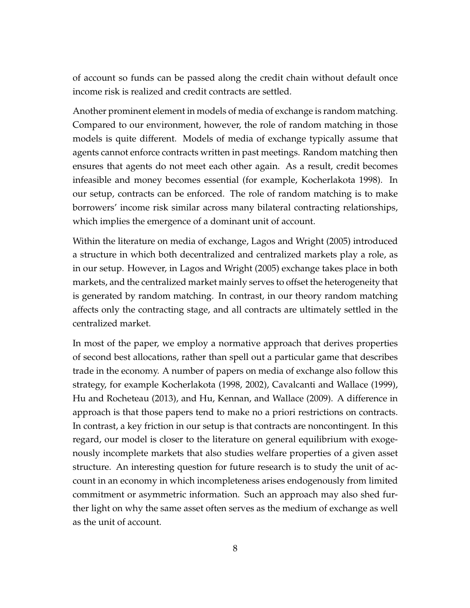of account so funds can be passed along the credit chain without default once income risk is realized and credit contracts are settled.

Another prominent element in models of media of exchange is random matching. Compared to our environment, however, the role of random matching in those models is quite different. Models of media of exchange typically assume that agents cannot enforce contracts written in past meetings. Random matching then ensures that agents do not meet each other again. As a result, credit becomes infeasible and money becomes essential (for example, Kocherlakota 1998). In our setup, contracts can be enforced. The role of random matching is to make borrowers' income risk similar across many bilateral contracting relationships, which implies the emergence of a dominant unit of account.

Within the literature on media of exchange, Lagos and Wright (2005) introduced a structure in which both decentralized and centralized markets play a role, as in our setup. However, in Lagos and Wright (2005) exchange takes place in both markets, and the centralized market mainly serves to offset the heterogeneity that is generated by random matching. In contrast, in our theory random matching affects only the contracting stage, and all contracts are ultimately settled in the centralized market.

In most of the paper, we employ a normative approach that derives properties of second best allocations, rather than spell out a particular game that describes trade in the economy. A number of papers on media of exchange also follow this strategy, for example Kocherlakota (1998, 2002), Cavalcanti and Wallace (1999), Hu and Rocheteau (2013), and Hu, Kennan, and Wallace (2009). A difference in approach is that those papers tend to make no a priori restrictions on contracts. In contrast, a key friction in our setup is that contracts are noncontingent. In this regard, our model is closer to the literature on general equilibrium with exogenously incomplete markets that also studies welfare properties of a given asset structure. An interesting question for future research is to study the unit of account in an economy in which incompleteness arises endogenously from limited commitment or asymmetric information. Such an approach may also shed further light on why the same asset often serves as the medium of exchange as well as the unit of account.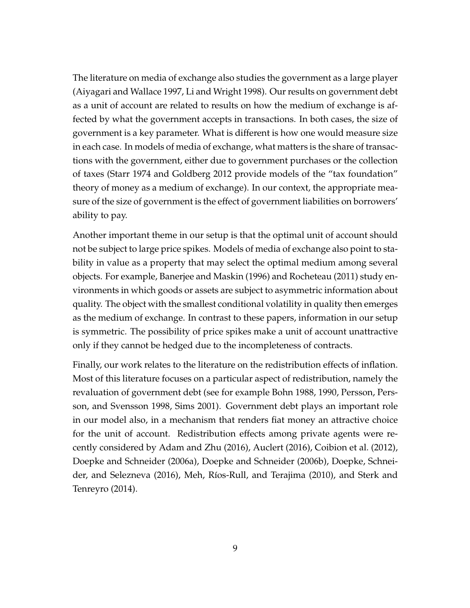The literature on media of exchange also studies the government as a large player (Aiyagari and Wallace 1997, Li and Wright 1998). Our results on government debt as a unit of account are related to results on how the medium of exchange is affected by what the government accepts in transactions. In both cases, the size of government is a key parameter. What is different is how one would measure size in each case. In models of media of exchange, what matters is the share of transactions with the government, either due to government purchases or the collection of taxes (Starr 1974 and Goldberg 2012 provide models of the "tax foundation" theory of money as a medium of exchange). In our context, the appropriate measure of the size of government is the effect of government liabilities on borrowers' ability to pay.

Another important theme in our setup is that the optimal unit of account should not be subject to large price spikes. Models of media of exchange also point to stability in value as a property that may select the optimal medium among several objects. For example, Banerjee and Maskin (1996) and Rocheteau (2011) study environments in which goods or assets are subject to asymmetric information about quality. The object with the smallest conditional volatility in quality then emerges as the medium of exchange. In contrast to these papers, information in our setup is symmetric. The possibility of price spikes make a unit of account unattractive only if they cannot be hedged due to the incompleteness of contracts.

Finally, our work relates to the literature on the redistribution effects of inflation. Most of this literature focuses on a particular aspect of redistribution, namely the revaluation of government debt (see for example Bohn 1988, 1990, Persson, Persson, and Svensson 1998, Sims 2001). Government debt plays an important role in our model also, in a mechanism that renders fiat money an attractive choice for the unit of account. Redistribution effects among private agents were recently considered by Adam and Zhu (2016), Auclert (2016), Coibion et al. (2012), Doepke and Schneider (2006a), Doepke and Schneider (2006b), Doepke, Schneider, and Selezneva (2016), Meh, Ríos-Rull, and Terajima (2010), and Sterk and Tenreyro (2014).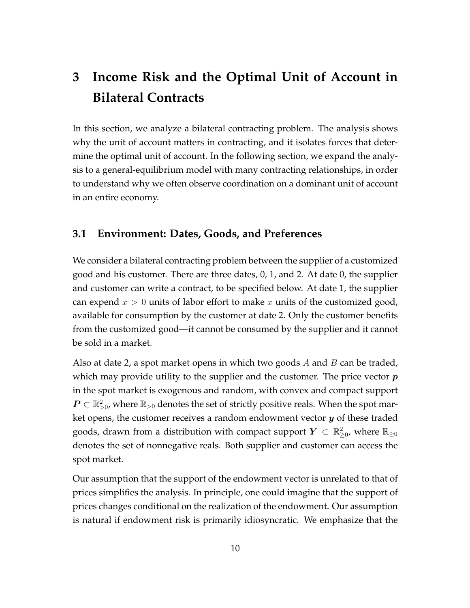# **3 Income Risk and the Optimal Unit of Account in Bilateral Contracts**

In this section, we analyze a bilateral contracting problem. The analysis shows why the unit of account matters in contracting, and it isolates forces that determine the optimal unit of account. In the following section, we expand the analysis to a general-equilibrium model with many contracting relationships, in order to understand why we often observe coordination on a dominant unit of account in an entire economy.

### **3.1 Environment: Dates, Goods, and Preferences**

We consider a bilateral contracting problem between the supplier of a customized good and his customer. There are three dates, 0, 1, and 2. At date 0, the supplier and customer can write a contract, to be specified below. At date 1, the supplier can expend *x >* 0 units of labor effort to make *x* units of the customized good, available for consumption by the customer at date 2. Only the customer benefits from the customized good—it cannot be consumed by the supplier and it cannot be sold in a market.

Also at date 2, a spot market opens in which two goods *A* and *B* can be traded, which may provide utility to the supplier and the customer. The price vector *p* in the spot market is exogenous and random, with convex and compact support  $\bm{P} \subset \mathbb{R}_{>0}^2$ , where  $\mathbb{R}_{>0}$  denotes the set of strictly positive reals. When the spot market opens, the customer receives a random endowment vector *y* of these traded goods, drawn from a distribution with compact support  $Y \, \subset \, \mathbb{R}^2_{\geq 0}$ , where  $\mathbb{R}_{\geq 0}$ denotes the set of nonnegative reals. Both supplier and customer can access the spot market.

Our assumption that the support of the endowment vector is unrelated to that of prices simplifies the analysis. In principle, one could imagine that the support of prices changes conditional on the realization of the endowment. Our assumption is natural if endowment risk is primarily idiosyncratic. We emphasize that the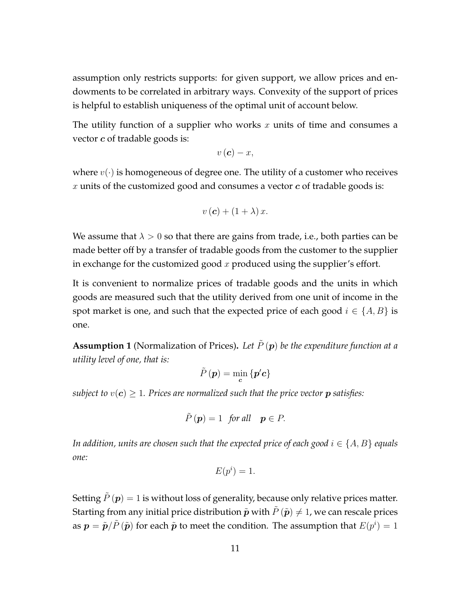assumption only restricts supports: for given support, we allow prices and endowments to be correlated in arbitrary ways. Convexity of the support of prices is helpful to establish uniqueness of the optimal unit of account below.

The utility function of a supplier who works *x* units of time and consumes a vector *c* of tradable goods is:

$$
v\left(\boldsymbol{c}\right)-x,
$$

where  $v(\cdot)$  is homogeneous of degree one. The utility of a customer who receives *x* units of the customized good and consumes a vector *c* of tradable goods is:

$$
v(c) + (1 + \lambda) x.
$$

We assume that  $\lambda > 0$  so that there are gains from trade, i.e., both parties can be made better off by a transfer of tradable goods from the customer to the supplier in exchange for the customized good *x* produced using the supplier's effort.

It is convenient to normalize prices of tradable goods and the units in which goods are measured such that the utility derived from one unit of income in the spot market is one, and such that the expected price of each good  $i \in \{A, B\}$  is one.

**Assumption 1** (Normalization of Prices). Let  $\tilde{P}(\boldsymbol{p})$  be the expenditure function at a *utility level of one, that is:*

$$
\tilde{P}\left(\boldsymbol{p}\right)=\min _{\boldsymbol{c}}\left\{ \boldsymbol{p}'\boldsymbol{c}\right\}
$$

*subject to*  $v(c) > 1$ *. Prices are normalized such that the price vector p satisfies:* 

$$
\tilde{P}(\boldsymbol{p}) = 1 \text{ for all } \boldsymbol{p} \in P.
$$

*In addition, units are chosen such that the expected price of each good*  $i \in \{A, B\}$  *equals one:*

$$
E(p^i) = 1.
$$

Setting  $P(\boldsymbol{p}) = 1$  is without loss of generality, because only relative prices matter. Starting from any initial price distribution  $\tilde{p}$  with  $\tilde{P}(\tilde{p}) \neq 1$ , we can rescale prices as  $\bm{p}=\tilde{\bm{p}}/\tilde{P}\left(\tilde{\bm{p}}\right)$  for each  $\tilde{\bm{p}}$  to meet the condition. The assumption that  $E(p^i)=1$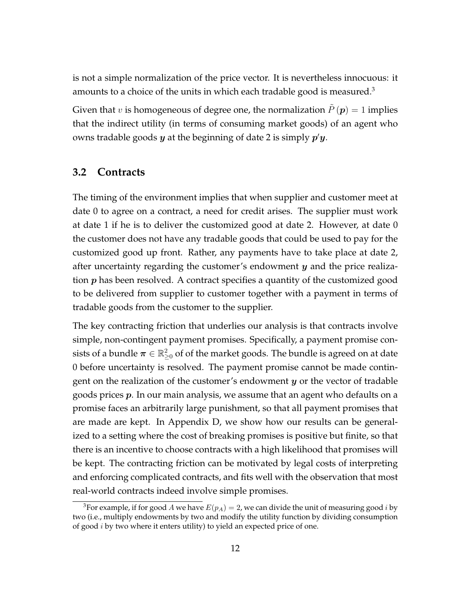is not a simple normalization of the price vector. It is nevertheless innocuous: it amounts to a choice of the units in which each tradable good is measured.<sup>3</sup>

Given that *v* is homogeneous of degree one, the normalization  $\ddot{P}(\boldsymbol{p}) = 1$  implies that the indirect utility (in terms of consuming market goods) of an agent who owns tradable goods *y* at the beginning of date 2 is simply *p ′y*.

#### **3.2 Contracts**

The timing of the environment implies that when supplier and customer meet at date 0 to agree on a contract, a need for credit arises. The supplier must work at date 1 if he is to deliver the customized good at date 2. However, at date 0 the customer does not have any tradable goods that could be used to pay for the customized good up front. Rather, any payments have to take place at date 2, after uncertainty regarding the customer's endowment *y* and the price realization *p* has been resolved. A contract specifies a quantity of the customized good to be delivered from supplier to customer together with a payment in terms of tradable goods from the customer to the supplier.

The key contracting friction that underlies our analysis is that contracts involve simple, non-contingent payment promises. Specifically, a payment promise consists of a bundle  $\boldsymbol{\pi} \in \mathbb{R}_{\geq 0}^2$  of of the market goods. The bundle is agreed on at date 0 before uncertainty is resolved. The payment promise cannot be made contingent on the realization of the customer's endowment *y* or the vector of tradable goods prices *p*. In our main analysis, we assume that an agent who defaults on a promise faces an arbitrarily large punishment, so that all payment promises that are made are kept. In Appendix D, we show how our results can be generalized to a setting where the cost of breaking promises is positive but finite, so that there is an incentive to choose contracts with a high likelihood that promises will be kept. The contracting friction can be motivated by legal costs of interpreting and enforcing complicated contracts, and fits well with the observation that most real-world contracts indeed involve simple promises.

<sup>&</sup>lt;sup>3</sup>For example, if for good *A* we have  $E(p_A) = 2$ , we can divide the unit of measuring good *i* by two (i.e., multiply endowments by two and modify the utility function by dividing consumption of good *i* by two where it enters utility) to yield an expected price of one.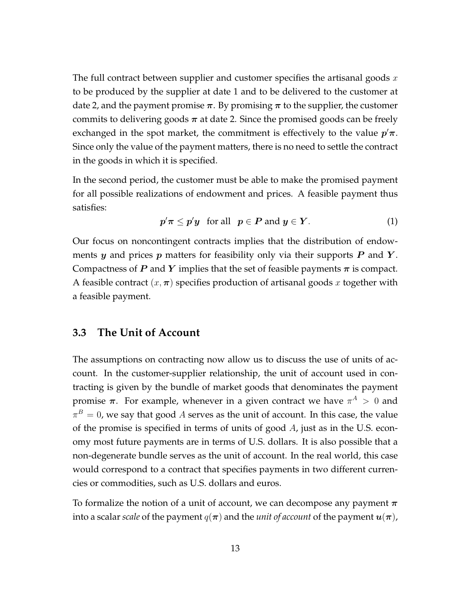The full contract between supplier and customer specifies the artisanal goods *x* to be produced by the supplier at date 1 and to be delivered to the customer at date 2, and the payment promise  $\pi$ . By promising  $\pi$  to the supplier, the customer commits to delivering goods  $\pi$  at date 2. Since the promised goods can be freely exchanged in the spot market, the commitment is effectively to the value *p ′π*. Since only the value of the payment matters, there is no need to settle the contract in the goods in which it is specified.

In the second period, the customer must be able to make the promised payment for all possible realizations of endowment and prices. A feasible payment thus satisfies:

$$
p'\pi \leq p'y \text{ for all } p \in P \text{ and } y \in Y. \tag{1}
$$

Our focus on noncontingent contracts implies that the distribution of endowments *y* and prices *p* matters for feasibility only via their supports *P* and *Y* . Compactness of *P* and *Y* implies that the set of feasible payments  $\pi$  is compact. A feasible contract  $(x, \pi)$  specifies production of artisanal goods x together with a feasible payment.

#### **3.3 The Unit of Account**

The assumptions on contracting now allow us to discuss the use of units of account. In the customer-supplier relationship, the unit of account used in contracting is given by the bundle of market goods that denominates the payment promise  $\pi$ . For example, whenever in a given contract we have  $\pi^A > 0$  and  $\pi^B=0$ , we say that good  $A$  serves as the unit of account. In this case, the value of the promise is specified in terms of units of good *A*, just as in the U.S. economy most future payments are in terms of U.S. dollars. It is also possible that a non-degenerate bundle serves as the unit of account. In the real world, this case would correspond to a contract that specifies payments in two different currencies or commodities, such as U.S. dollars and euros.

To formalize the notion of a unit of account, we can decompose any payment *π* into a scalar *scale* of the payment  $q(\pi)$  and the *unit of account* of the payment  $u(\pi)$ ,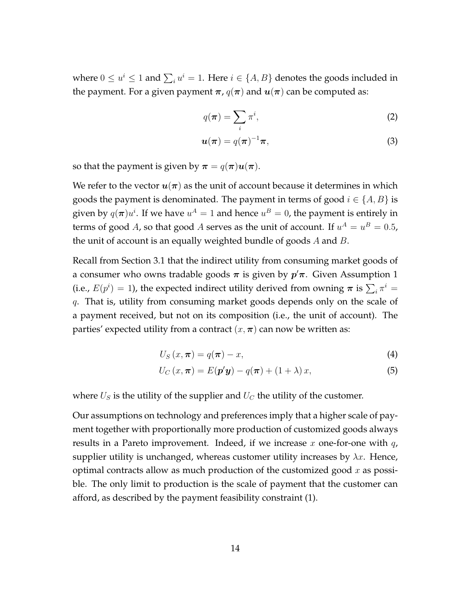where  $0 \le u^i \le 1$  and  $\sum_i u^i = 1$ . Here  $i \in \{A, B\}$  denotes the goods included in the payment. For a given payment  $\pi$ ,  $q(\pi)$  and  $u(\pi)$  can be computed as:

$$
q(\boldsymbol{\pi}) = \sum_{i} \pi^{i}, \tag{2}
$$

$$
\boldsymbol{u}(\boldsymbol{\pi}) = q(\boldsymbol{\pi})^{-1}\boldsymbol{\pi},\tag{3}
$$

so that the payment is given by  $\pi = q(\pi)u(\pi)$ .

We refer to the vector  $u(\pi)$  as the unit of account because it determines in which goods the payment is denominated. The payment in terms of good  $i \in \{A, B\}$  is given by  $q(\boldsymbol{\pi})u^i$ . If we have  $u^A=1$  and hence  $u^B=0$ , the payment is entirely in terms of good *A*, so that good *A* serves as the unit of account. If  $u^A = u^B = 0.5$ , the unit of account is an equally weighted bundle of goods *A* and *B*.

Recall from Section 3.1 that the indirect utility from consuming market goods of a consumer who owns tradable goods *π* is given by *p ′π*. Given Assumption 1 (i.e.,  $E(p^i) = 1$ ), the expected indirect utility derived from owning  $\pi$  is  $\sum_i \pi^i =$ *q*. That is, utility from consuming market goods depends only on the scale of a payment received, but not on its composition (i.e., the unit of account). The parties' expected utility from a contract  $(x, \pi)$  can now be written as:

$$
U_{S}\left(x,\boldsymbol{\pi}\right)=q(\boldsymbol{\pi})-x,\tag{4}
$$

$$
U_C(x,\boldsymbol{\pi}) = E(\boldsymbol{p}'\boldsymbol{y}) - q(\boldsymbol{\pi}) + (1+\lambda)x,\tag{5}
$$

where  $U_S$  is the utility of the supplier and  $U_C$  the utility of the customer.

Our assumptions on technology and preferences imply that a higher scale of payment together with proportionally more production of customized goods always results in a Pareto improvement. Indeed, if we increase *x* one-for-one with *q*, supplier utility is unchanged, whereas customer utility increases by  $\lambda x$ . Hence, optimal contracts allow as much production of the customized good *x* as possible. The only limit to production is the scale of payment that the customer can afford, as described by the payment feasibility constraint (1).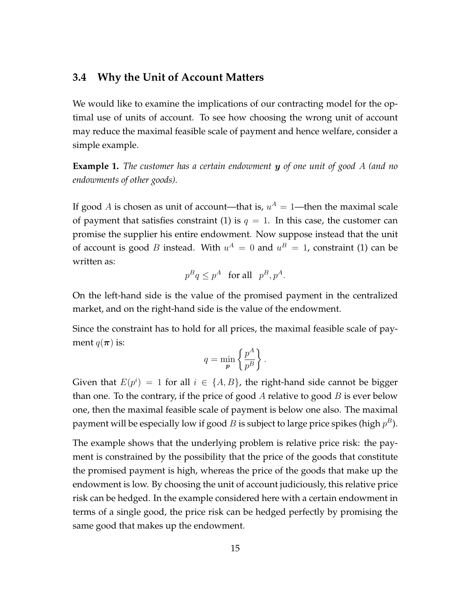#### **3.4 Why the Unit of Account Matters**

We would like to examine the implications of our contracting model for the optimal use of units of account. To see how choosing the wrong unit of account may reduce the maximal feasible scale of payment and hence welfare, consider a simple example.

**Example 1.** *The customer has a certain endowment y of one unit of good A (and no endowments of other goods).*

If good *A* is chosen as unit of account—that is,  $u^A = 1$ —then the maximal scale of payment that satisfies constraint (1) is  $q = 1$ . In this case, the customer can promise the supplier his entire endowment. Now suppose instead that the unit of account is good *B* instead. With  $u^A = 0$  and  $u^B = 1$ , constraint (1) can be written as:

$$
p^Bq\leq p^A\quad\text{for all}\quad p^B,p^A.
$$

On the left-hand side is the value of the promised payment in the centralized market, and on the right-hand side is the value of the endowment.

Since the constraint has to hold for all prices, the maximal feasible scale of payment  $q(\pi)$  is:

$$
q = \min_{\mathbf{p}} \left\{ \frac{p^A}{p^B} \right\}.
$$

Given that  $E(p^i) = 1$  for all  $i \in \{A, B\}$ , the right-hand side cannot be bigger than one. To the contrary, if the price of good *A* relative to good *B* is ever below one, then the maximal feasible scale of payment is below one also. The maximal payment will be especially low if good  $B$  is subject to large price spikes (high  $p^B$ ).

The example shows that the underlying problem is relative price risk: the payment is constrained by the possibility that the price of the goods that constitute the promised payment is high, whereas the price of the goods that make up the endowment is low. By choosing the unit of account judiciously, this relative price risk can be hedged. In the example considered here with a certain endowment in terms of a single good, the price risk can be hedged perfectly by promising the same good that makes up the endowment.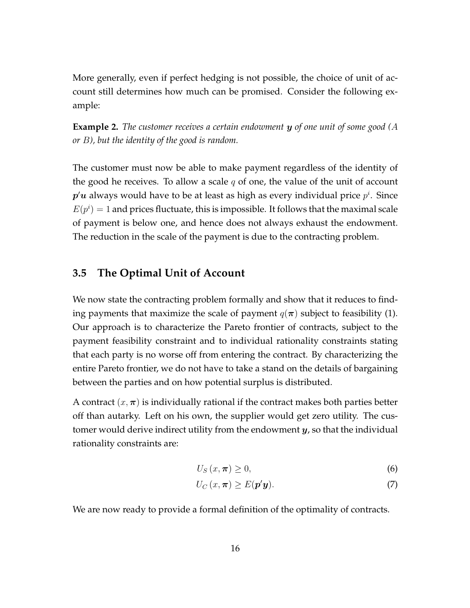More generally, even if perfect hedging is not possible, the choice of unit of account still determines how much can be promised. Consider the following example:

**Example 2.** *The customer receives a certain endowment y of one unit of some good (A or B), but the identity of the good is random.*

The customer must now be able to make payment regardless of the identity of the good he receives. To allow a scale *q* of one, the value of the unit of account  $\bm{p}'\bm{u}$  always would have to be at least as high as every individual price  $p^i$ . Since  $E(p^i) = 1$  and prices fluctuate, this is impossible. It follows that the maximal scale of payment is below one, and hence does not always exhaust the endowment. The reduction in the scale of the payment is due to the contracting problem.

### **3.5 The Optimal Unit of Account**

We now state the contracting problem formally and show that it reduces to finding payments that maximize the scale of payment  $q(\pi)$  subject to feasibility (1). Our approach is to characterize the Pareto frontier of contracts, subject to the payment feasibility constraint and to individual rationality constraints stating that each party is no worse off from entering the contract. By characterizing the entire Pareto frontier, we do not have to take a stand on the details of bargaining between the parties and on how potential surplus is distributed.

A contract  $(x, \pi)$  is individually rational if the contract makes both parties better off than autarky. Left on his own, the supplier would get zero utility. The customer would derive indirect utility from the endowment *y*, so that the individual rationality constraints are:

$$
U_{S}\left(x,\boldsymbol{\pi}\right)\geq0,\tag{6}
$$

$$
U_C(x,\boldsymbol{\pi}) \ge E(\boldsymbol{p}'\boldsymbol{y}).\tag{7}
$$

We are now ready to provide a formal definition of the optimality of contracts.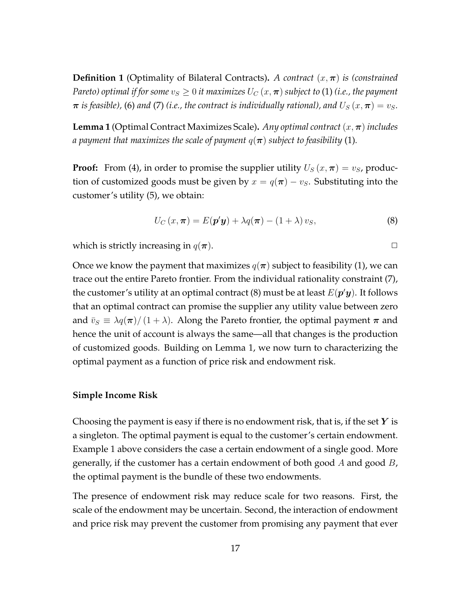**Definition 1** (Optimality of Bilateral Contracts). *A contract*  $(x, \pi)$  *is (constrained Pareto) optimal if for some*  $v_s \geq 0$  *it maximizes*  $U_C(x, \pi)$  *subject to* (1) *(i.e., the payment*  $\pi$  *is feasible*), (6) *and* (7) *(i.e., the contract is individually rational), and*  $U_s(x,\pi) = v_s$ .

**Lemma 1** (Optimal Contract Maximizes Scale)**.** *Any optimal contract* (*x,π*) *includes a payment that maximizes the scale of payment*  $q(\pi)$  *subject to feasibility* (1).

**Proof:** From (4), in order to promise the supplier utility  $U_s(x, \pi) = v_s$ , production of customized goods must be given by  $x = q(\pi) - v_s$ . Substituting into the customer's utility (5), we obtain:

$$
U_C(x,\boldsymbol{\pi}) = E(\boldsymbol{p}'\boldsymbol{y}) + \lambda q(\boldsymbol{\pi}) - (1+\lambda) v_S,
$$
\n(8)

which is strictly increasing in  $q(\pi)$ .

Once we know the payment that maximizes  $q(\pi)$  subject to feasibility (1), we can trace out the entire Pareto frontier. From the individual rationality constraint (7), the customer's utility at an optimal contract (8) must be at least *E*(*p ′y*). It follows that an optimal contract can promise the supplier any utility value between zero and  $\bar{v}_S \equiv \lambda q(\pi)/(1 + \lambda)$ . Along the Pareto frontier, the optimal payment  $\pi$  and hence the unit of account is always the same—all that changes is the production of customized goods. Building on Lemma 1, we now turn to characterizing the optimal payment as a function of price risk and endowment risk.

#### **Simple Income Risk**

Choosing the payment is easy if there is no endowment risk, that is, if the set *Y* is a singleton. The optimal payment is equal to the customer's certain endowment. Example 1 above considers the case a certain endowment of a single good. More generally, if the customer has a certain endowment of both good *A* and good *B*, the optimal payment is the bundle of these two endowments.

The presence of endowment risk may reduce scale for two reasons. First, the scale of the endowment may be uncertain. Second, the interaction of endowment and price risk may prevent the customer from promising any payment that ever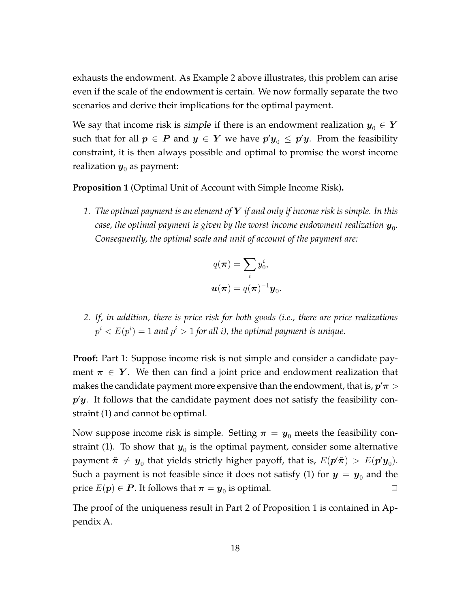exhausts the endowment. As Example 2 above illustrates, this problem can arise even if the scale of the endowment is certain. We now formally separate the two scenarios and derive their implications for the optimal payment.

We say that income risk is *simple* if there is an endowment realization  $y_0 \in Y$ such that for all  $p \,\in\, P$  and  $y \,\in\, Y$  we have  $p'y_0 \,\leq\, p'y.$  From the feasibility constraint, it is then always possible and optimal to promise the worst income realization  $y_0$  as payment:

**Proposition 1** (Optimal Unit of Account with Simple Income Risk)**.**

*1. The optimal payment is an element of Y if and only if income risk is simple. In this* case, the optimal payment is given by the worst income endowment realization  $\boldsymbol{y}_{0}$ . *Consequently, the optimal scale and unit of account of the payment are:*

$$
q(\boldsymbol{\pi}) = \sum_i y_0^i,
$$
  

$$
\boldsymbol{u}(\boldsymbol{\pi}) = q(\boldsymbol{\pi})^{-1} \boldsymbol{y}_0.
$$

*2. If, in addition, there is price risk for both goods (i.e., there are price realizations*  $p^{i} < E(p^{i}) = 1$  *and*  $p^{i} > 1$  *for all i), the optimal payment is unique.* 

**Proof:** Part 1: Suppose income risk is not simple and consider a candidate payment  $\pi \in Y$ . We then can find a joint price and endowment realization that makes the candidate payment more expensive than the endowment, that is, *p ′π >*  $p'y$ . It follows that the candidate payment does not satisfy the feasibility constraint (1) and cannot be optimal.

Now suppose income risk is simple. Setting  $\pi = y_0$  meets the feasibility constraint (1). To show that  $\bm{y}_{0}$  is the optimal payment, consider some alternative payment  $\tilde{\bm{\pi}}~\neq~\bm{y}_0$  that yields strictly higher payoff, that is,  $E(\bm{p}'\tilde{\bm{\pi}})~>~E(\bm{p}'\bm{y}_0).$ Such a payment is not feasible since it does not satisfy (1) for  $y = y_0$  and the  $\text{price } E(\boldsymbol{p}) \in \boldsymbol{P}.$  It follows that  $\boldsymbol{\pi} = \boldsymbol{y}_0$  is optimal.  $\qquad \qquad \Box$ 

The proof of the uniqueness result in Part 2 of Proposition 1 is contained in Appendix A.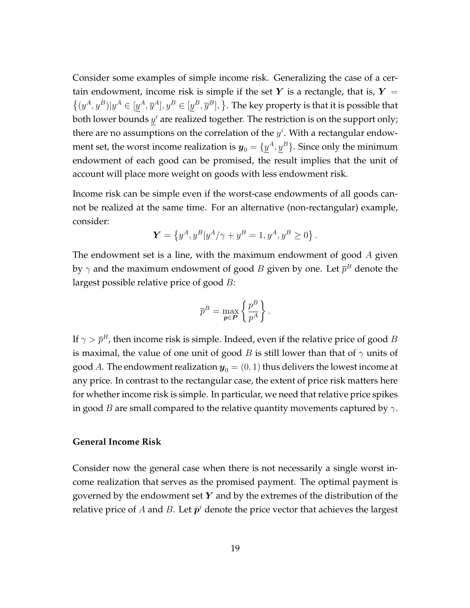Consider some examples of simple income risk. Generalizing the case of a certain endowment, income risk is simple if the set  $Y$  is a rectangle, that is,  $Y =$  $\{(y^A, y^B) | y^A \in [y^A, \overline{y}^A], y^B \in [y^B, \overline{y}^B], \}$ . The key property is that it is possible that both lower bounds  $y^i$  are realized together. The restriction is on the support only; there are no assumptions on the correlation of the  $y^i$ . With a rectangular endowment set, the worst income realization is  $\boldsymbol{y}_0 = \{\underline{y}^A, \underline{y}^B\}.$  Since only the minimum endowment of each good can be promised, the result implies that the unit of account will place more weight on goods with less endowment risk.

Income risk can be simple even if the worst-case endowments of all goods cannot be realized at the same time. For an alternative (non-rectangular) example, consider:

$$
\mathbf{Y} = \left\{ y^A, y^B | y^A / \gamma + y^B = 1, y^A, y^B \ge 0 \right\}.
$$

The endowment set is a line, with the maximum endowment of good *A* given by  $\gamma$  and the maximum endowment of good  $B$  given by one. Let  $\overline{p}^B$  denote the largest possible relative price of good *B*:

$$
\overline{p}^B = \max_{\textbf{p} \in \textbf{P}} \left\{ \frac{p^B}{p^A} \right\}.
$$

If  $\gamma > \overline{p}^B$ , then income risk is simple. Indeed, even if the relative price of good  $B$ is maximal, the value of one unit of good *B* is still lower than that of *γ* units of good *A*. The endowment realization  $y_0 = (0, 1)$  thus delivers the lowest income at any price. In contrast to the rectangular case, the extent of price risk matters here for whether income risk is simple. In particular, we need that relative price spikes in good *B* are small compared to the relative quantity movements captured by *γ*.

#### **General Income Risk**

Consider now the general case when there is not necessarily a single worst income realization that serves as the promised payment. The optimal payment is governed by the endowment set *Y* and by the extremes of the distribution of the relative price of  $A$  and  $B$ . Let  $\bar{p}^i$  denote the price vector that achieves the largest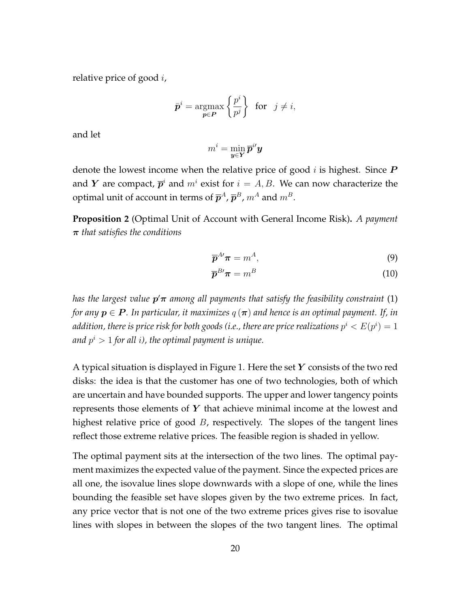relative price of good *i*,

$$
\bar{\boldsymbol{p}}^i = \operatorname*{argmax}_{\boldsymbol{p} \in \boldsymbol{P}} \left\{ \frac{p^i}{p^j} \right\} \text{ for } j \neq i,
$$

and let

$$
m^i = \min_{\bm{y} \in \bm{Y}} \overline{\bm{p}}^{i \prime} \bm{y}
$$

denote the lowest income when the relative price of good *i* is highest. Since *P* and *Y* are compact,  $\overline{p}^i$  and  $m^i$  exist for  $i = A, B$ . We can now characterize the optimal unit of account in terms of  $\overline{p}^A$ ,  $\overline{p}^B$ ,  $m^A$  and  $m^B$ .

**Proposition 2** (Optimal Unit of Account with General Income Risk)**.** *A payment π that satisfies the conditions*

$$
\overline{\mathbf{p}}^{A'} \boldsymbol{\pi} = m^A, \tag{9}
$$

$$
\overline{\mathbf{p}}^{B'} \boldsymbol{\pi} = m^B \tag{10}
$$

*has the largest value p ′π among all payments that satisfy the feasibility constraint* (1) *for any*  $p \in P$ . In particular, it maximizes  $q(\pi)$  and hence is an optimal payment. If, in addition, there is price risk for both goods (i.e., there are price realizations  $p^i < E(p^i) = 1$ *and p <sup>i</sup> >* 1 *for all i), the optimal payment is unique.*

A typical situation is displayed in Figure 1. Here the set *Y* consists of the two red disks: the idea is that the customer has one of two technologies, both of which are uncertain and have bounded supports. The upper and lower tangency points represents those elements of *Y* that achieve minimal income at the lowest and highest relative price of good *B*, respectively. The slopes of the tangent lines reflect those extreme relative prices. The feasible region is shaded in yellow.

The optimal payment sits at the intersection of the two lines. The optimal payment maximizes the expected value of the payment. Since the expected prices are all one, the isovalue lines slope downwards with a slope of one, while the lines bounding the feasible set have slopes given by the two extreme prices. In fact, any price vector that is not one of the two extreme prices gives rise to isovalue lines with slopes in between the slopes of the two tangent lines. The optimal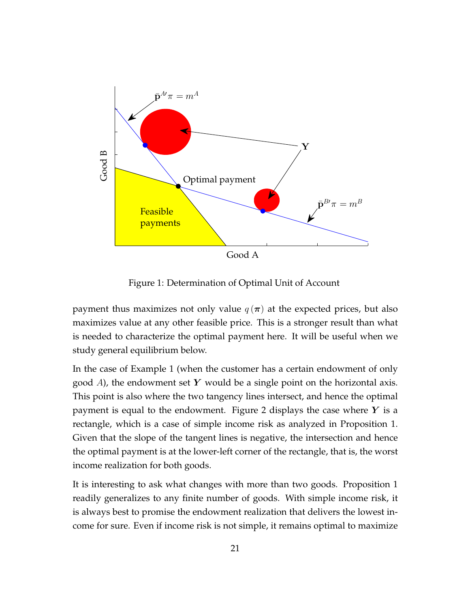

Figure 1: Determination of Optimal Unit of Account

payment thus maximizes not only value  $q(\pi)$  at the expected prices, but also maximizes value at any other feasible price. This is a stronger result than what is needed to characterize the optimal payment here. It will be useful when we study general equilibrium below.

In the case of Example 1 (when the customer has a certain endowment of only good *A*), the endowment set *Y* would be a single point on the horizontal axis. This point is also where the two tangency lines intersect, and hence the optimal payment is equal to the endowment. Figure 2 displays the case where *Y* is a rectangle, which is a case of simple income risk as analyzed in Proposition 1. Given that the slope of the tangent lines is negative, the intersection and hence the optimal payment is at the lower-left corner of the rectangle, that is, the worst income realization for both goods.

It is interesting to ask what changes with more than two goods. Proposition 1 readily generalizes to any finite number of goods. With simple income risk, it is always best to promise the endowment realization that delivers the lowest income for sure. Even if income risk is not simple, it remains optimal to maximize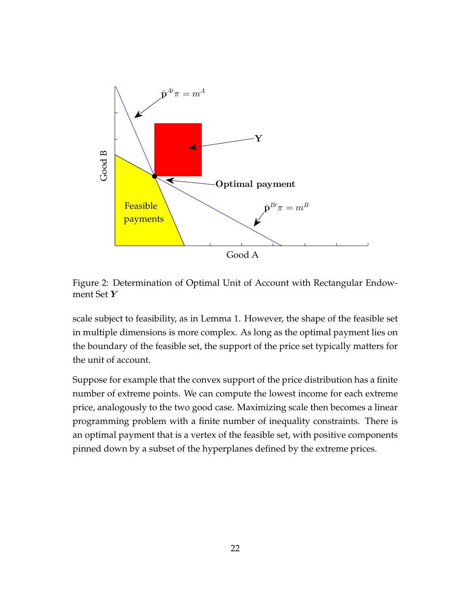

Figure 2: Determination of Optimal Unit of Account with Rectangular Endowment Set *Y*

scale subject to feasibility, as in Lemma 1. However, the shape of the feasible set in multiple dimensions is more complex. As long as the optimal payment lies on the boundary of the feasible set, the support of the price set typically matters for the unit of account.

Suppose for example that the convex support of the price distribution has a finite number of extreme points. We can compute the lowest income for each extreme price, analogously to the two good case. Maximizing scale then becomes a linear programming problem with a finite number of inequality constraints. There is an optimal payment that is a vertex of the feasible set, with positive components pinned down by a subset of the hyperplanes defined by the extreme prices.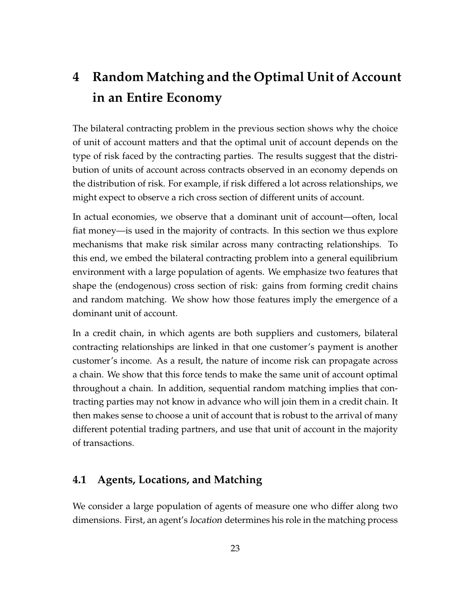# **4 Random Matching and the Optimal Unit of Account in an Entire Economy**

The bilateral contracting problem in the previous section shows why the choice of unit of account matters and that the optimal unit of account depends on the type of risk faced by the contracting parties. The results suggest that the distribution of units of account across contracts observed in an economy depends on the distribution of risk. For example, if risk differed a lot across relationships, we might expect to observe a rich cross section of different units of account.

In actual economies, we observe that a dominant unit of account—often, local fiat money—is used in the majority of contracts. In this section we thus explore mechanisms that make risk similar across many contracting relationships. To this end, we embed the bilateral contracting problem into a general equilibrium environment with a large population of agents. We emphasize two features that shape the (endogenous) cross section of risk: gains from forming credit chains and random matching. We show how those features imply the emergence of a dominant unit of account.

In a credit chain, in which agents are both suppliers and customers, bilateral contracting relationships are linked in that one customer's payment is another customer's income. As a result, the nature of income risk can propagate across a chain. We show that this force tends to make the same unit of account optimal throughout a chain. In addition, sequential random matching implies that contracting parties may not know in advance who will join them in a credit chain. It then makes sense to choose a unit of account that is robust to the arrival of many different potential trading partners, and use that unit of account in the majority of transactions.

## **4.1 Agents, Locations, and Matching**

We consider a large population of agents of measure one who differ along two dimensions. First, an agent's location determines his role in the matching process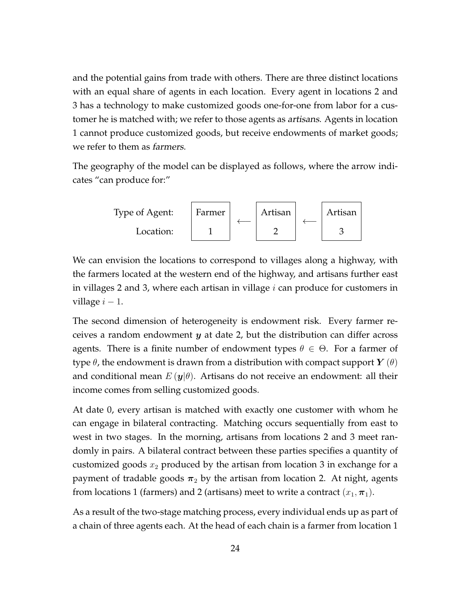and the potential gains from trade with others. There are three distinct locations with an equal share of agents in each location. Every agent in locations 2 and 3 has a technology to make customized goods one-for-one from labor for a customer he is matched with; we refer to those agents as artisans. Agents in location 1 cannot produce customized goods, but receive endowments of market goods; we refer to them as farmers.

The geography of the model can be displayed as follows, where the arrow indicates "can produce for:"



We can envision the locations to correspond to villages along a highway, with the farmers located at the western end of the highway, and artisans further east in villages 2 and 3, where each artisan in village *i* can produce for customers in village  $i - 1$ .

The second dimension of heterogeneity is endowment risk. Every farmer receives a random endowment *y* at date 2, but the distribution can differ across agents. There is a finite number of endowment types  $\theta \in \Theta$ . For a farmer of type  $\theta$ , the endowment is drawn from a distribution with compact support  $Y(\theta)$ and conditional mean  $E(\mathbf{y}|\theta)$ . Artisans do not receive an endowment: all their income comes from selling customized goods.

At date 0, every artisan is matched with exactly one customer with whom he can engage in bilateral contracting. Matching occurs sequentially from east to west in two stages. In the morning, artisans from locations 2 and 3 meet randomly in pairs. A bilateral contract between these parties specifies a quantity of customized goods *x*<sup>2</sup> produced by the artisan from location 3 in exchange for a payment of tradable goods  $\pi_2$  by the artisan from location 2. At night, agents from locations 1 (farmers) and 2 (artisans) meet to write a contract  $(x_1, \pi_1)$ .

As a result of the two-stage matching process, every individual ends up as part of a chain of three agents each. At the head of each chain is a farmer from location 1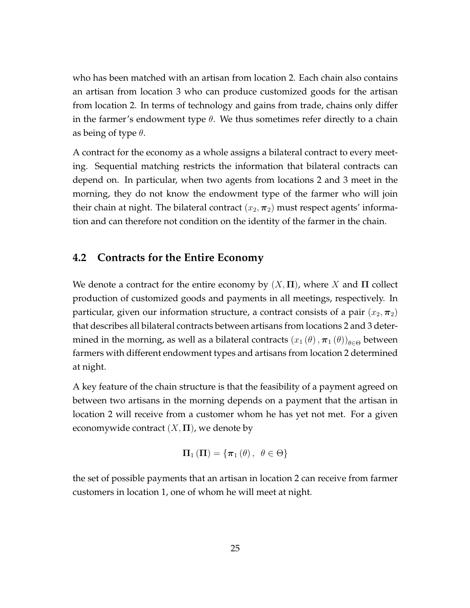who has been matched with an artisan from location 2. Each chain also contains an artisan from location 3 who can produce customized goods for the artisan from location 2. In terms of technology and gains from trade, chains only differ in the farmer's endowment type  $\theta$ . We thus sometimes refer directly to a chain as being of type *θ*.

A contract for the economy as a whole assigns a bilateral contract to every meeting. Sequential matching restricts the information that bilateral contracts can depend on. In particular, when two agents from locations 2 and 3 meet in the morning, they do not know the endowment type of the farmer who will join their chain at night. The bilateral contract  $(x_2, \pi_2)$  must respect agents' information and can therefore not condition on the identity of the farmer in the chain.

### **4.2 Contracts for the Entire Economy**

We denote a contract for the entire economy by  $(X, \Pi)$ , where *X* and  $\Pi$  collect production of customized goods and payments in all meetings, respectively. In particular, given our information structure, a contract consists of a pair  $(x_2, \pi_2)$ that describes all bilateral contracts between artisans from locations 2 and 3 determined in the morning, as well as a bilateral contracts  $(x_1(\theta), \pi_1(\theta))_{\theta \in \Theta}$  between farmers with different endowment types and artisans from location 2 determined at night.

A key feature of the chain structure is that the feasibility of a payment agreed on between two artisans in the morning depends on a payment that the artisan in location 2 will receive from a customer whom he has yet not met. For a given economywide contract  $(X, \Pi)$ , we denote by

$$
\Pi_1(\Pi)=\{\pi_1(\theta),\ \theta\in\Theta\}
$$

the set of possible payments that an artisan in location 2 can receive from farmer customers in location 1, one of whom he will meet at night.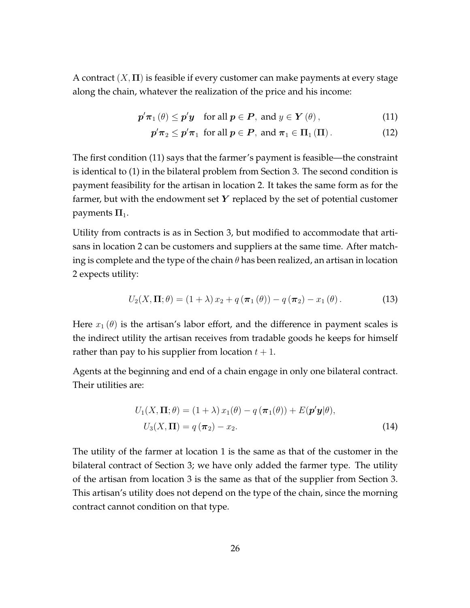A contract (*X,* **Π**) is feasible if every customer can make payments at every stage along the chain, whatever the realization of the price and his income:

$$
\boldsymbol{p}'\boldsymbol{\pi}_1(\theta) \le \boldsymbol{p}'\boldsymbol{y} \quad \text{for all } \boldsymbol{p} \in \boldsymbol{P}, \text{ and } y \in \boldsymbol{Y}(\theta), \tag{11}
$$

$$
p'\pi_2 \leq p'\pi_1 \text{ for all } p \in P, \text{ and } \pi_1 \in \Pi_1(\Pi). \tag{12}
$$

The first condition (11) says that the farmer's payment is feasible—the constraint is identical to (1) in the bilateral problem from Section 3. The second condition is payment feasibility for the artisan in location 2. It takes the same form as for the farmer, but with the endowment set *Y* replaced by the set of potential customer payments  $\Pi_1$ .

Utility from contracts is as in Section 3, but modified to accommodate that artisans in location 2 can be customers and suppliers at the same time. After matching is complete and the type of the chain *θ* has been realized, an artisan in location 2 expects utility:

$$
U_2(X,\Pi;\theta) = (1+\lambda)x_2 + q(\boldsymbol{\pi}_1(\theta)) - q(\boldsymbol{\pi}_2) - x_1(\theta).
$$
 (13)

Here  $x_1(\theta)$  is the artisan's labor effort, and the difference in payment scales is the indirect utility the artisan receives from tradable goods he keeps for himself rather than pay to his supplier from location  $t + 1$ .

Agents at the beginning and end of a chain engage in only one bilateral contract. Their utilities are:

$$
U_1(X, \Pi; \theta) = (1 + \lambda) x_1(\theta) - q(\pi_1(\theta)) + E(\mathbf{p}'\mathbf{y}|\theta),
$$
  

$$
U_3(X, \Pi) = q(\pi_2) - x_2.
$$
 (14)

The utility of the farmer at location 1 is the same as that of the customer in the bilateral contract of Section 3; we have only added the farmer type. The utility of the artisan from location 3 is the same as that of the supplier from Section 3. This artisan's utility does not depend on the type of the chain, since the morning contract cannot condition on that type.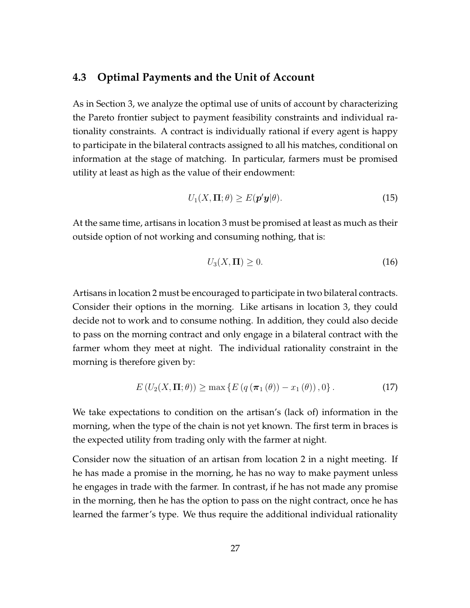#### **4.3 Optimal Payments and the Unit of Account**

As in Section 3, we analyze the optimal use of units of account by characterizing the Pareto frontier subject to payment feasibility constraints and individual rationality constraints. A contract is individually rational if every agent is happy to participate in the bilateral contracts assigned to all his matches, conditional on information at the stage of matching. In particular, farmers must be promised utility at least as high as the value of their endowment:

$$
U_1(X,\Pi;\theta) \ge E(\mathbf{p}'\mathbf{y}|\theta). \tag{15}
$$

At the same time, artisans in location 3 must be promised at least as much as their outside option of not working and consuming nothing, that is:

$$
U_3(X,\Pi) \ge 0. \tag{16}
$$

Artisans in location 2 must be encouraged to participate in two bilateral contracts. Consider their options in the morning. Like artisans in location 3, they could decide not to work and to consume nothing. In addition, they could also decide to pass on the morning contract and only engage in a bilateral contract with the farmer whom they meet at night. The individual rationality constraint in the morning is therefore given by:

$$
E\left(U_2(X,\Pi;\theta)\right) \geq \max\left\{E\left(q\left(\pi_1\left(\theta\right)\right) - x_1\left(\theta\right)\right),0\right\}.
$$
\n(17)

We take expectations to condition on the artisan's (lack of) information in the morning, when the type of the chain is not yet known. The first term in braces is the expected utility from trading only with the farmer at night.

Consider now the situation of an artisan from location 2 in a night meeting. If he has made a promise in the morning, he has no way to make payment unless he engages in trade with the farmer. In contrast, if he has not made any promise in the morning, then he has the option to pass on the night contract, once he has learned the farmer's type. We thus require the additional individual rationality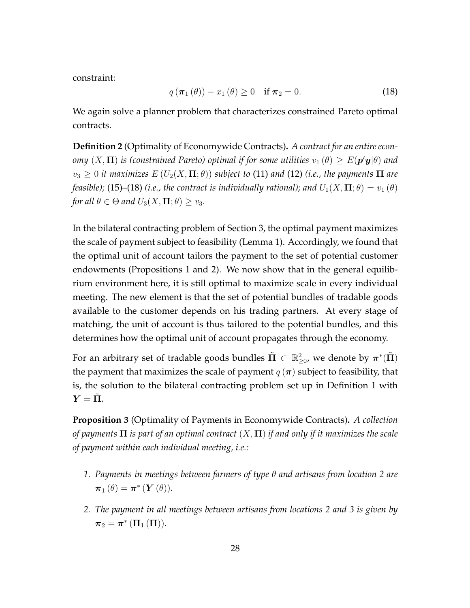constraint:

$$
q\left(\pi_1(\theta)\right) - x_1(\theta) \ge 0 \quad \text{if } \pi_2 = 0. \tag{18}
$$

We again solve a planner problem that characterizes constrained Pareto optimal contracts.

**Definition 2** (Optimality of Economywide Contracts)**.** *A contract for an entire econ-* $\sigma$  *omy*  $(X,\mathbf{\Pi})$  *is (constrained Pareto) optimal if for some utilities*  $v_1\left(\theta\right)\geq E(\bm{p}'\bm{y}|\theta)$  *and*  $v_3 \geq 0$  *it maximizes*  $E(U_2(X,\Pi;\theta))$  *subject to* (11) *and* (12) *(i.e., the payments*  $\Pi$  *are feasible)*; (15)–(18) *(i.e., the contract is individually rational); and*  $U_1(X,\Pi;\theta) = v_1(\theta)$ *for all*  $\theta \in \Theta$  *and*  $U_3(X, \Pi; \theta) \ge v_3$ *.* 

In the bilateral contracting problem of Section 3, the optimal payment maximizes the scale of payment subject to feasibility (Lemma 1). Accordingly, we found that the optimal unit of account tailors the payment to the set of potential customer endowments (Propositions 1 and 2). We now show that in the general equilibrium environment here, it is still optimal to maximize scale in every individual meeting. The new element is that the set of potential bundles of tradable goods available to the customer depends on his trading partners. At every stage of matching, the unit of account is thus tailored to the potential bundles, and this determines how the optimal unit of account propagates through the economy.

For an arbitrary set of tradable goods bundles  $\tilde{\Pi} \subset \mathbb{R}_{\geq 0}^2$ , we denote by  $\pi^*(\tilde{\Pi})$ the payment that maximizes the scale of payment  $q(\pi)$  subject to feasibility, that is, the solution to the bilateral contracting problem set up in Definition 1 with  $Y = \Pi$ .

**Proposition 3** (Optimality of Payments in Economywide Contracts)**.** *A collection of payments* **Π** *is part of an optimal contract* (*X,* **Π**) *if and only if it maximizes the scale of payment within each individual meeting, i.e.:*

- *1. Payments in meetings between farmers of type θ and artisans from location 2 are*  $\boldsymbol{\pi}_{1}\left(\theta\right)=\boldsymbol{\pi}^{*}\left(\boldsymbol{Y}\left(\theta\right)\right)$ .
- *2. The payment in all meetings between artisans from locations 2 and 3 is given by*  $\boldsymbol{\pi}_2 = \boldsymbol{\pi}^*\left(\boldsymbol{\Pi}_1\left(\boldsymbol{\Pi}\right)\right)$ .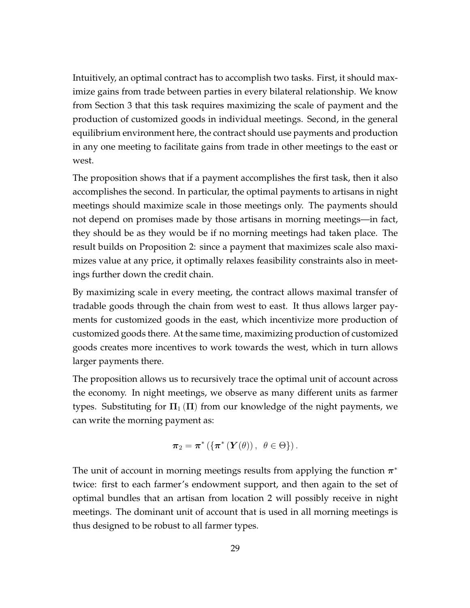Intuitively, an optimal contract has to accomplish two tasks. First, it should maximize gains from trade between parties in every bilateral relationship. We know from Section 3 that this task requires maximizing the scale of payment and the production of customized goods in individual meetings. Second, in the general equilibrium environment here, the contract should use payments and production in any one meeting to facilitate gains from trade in other meetings to the east or west.

The proposition shows that if a payment accomplishes the first task, then it also accomplishes the second. In particular, the optimal payments to artisans in night meetings should maximize scale in those meetings only. The payments should not depend on promises made by those artisans in morning meetings—in fact, they should be as they would be if no morning meetings had taken place. The result builds on Proposition 2: since a payment that maximizes scale also maximizes value at any price, it optimally relaxes feasibility constraints also in meetings further down the credit chain.

By maximizing scale in every meeting, the contract allows maximal transfer of tradable goods through the chain from west to east. It thus allows larger payments for customized goods in the east, which incentivize more production of customized goods there. At the same time, maximizing production of customized goods creates more incentives to work towards the west, which in turn allows larger payments there.

The proposition allows us to recursively trace the optimal unit of account across the economy. In night meetings, we observe as many different units as farmer types. Substituting for  $\Pi_1(\Pi)$  from our knowledge of the night payments, we can write the morning payment as:

$$
\boldsymbol{\pi}_2 = \boldsymbol{\pi}^* \left( \left\{ \boldsymbol{\pi}^* \left( \boldsymbol{Y}(\theta) \right), \ \theta \in \Theta \right\} \right).
$$

The unit of account in morning meetings results from applying the function *π ∗* twice: first to each farmer's endowment support, and then again to the set of optimal bundles that an artisan from location 2 will possibly receive in night meetings. The dominant unit of account that is used in all morning meetings is thus designed to be robust to all farmer types.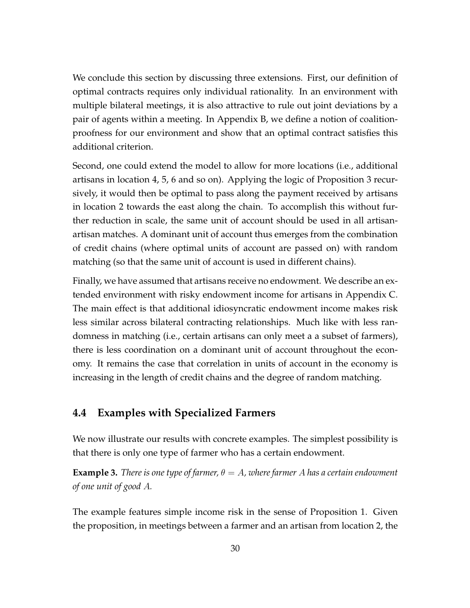We conclude this section by discussing three extensions. First, our definition of optimal contracts requires only individual rationality. In an environment with multiple bilateral meetings, it is also attractive to rule out joint deviations by a pair of agents within a meeting. In Appendix B, we define a notion of coalitionproofness for our environment and show that an optimal contract satisfies this additional criterion.

Second, one could extend the model to allow for more locations (i.e., additional artisans in location 4, 5, 6 and so on). Applying the logic of Proposition 3 recursively, it would then be optimal to pass along the payment received by artisans in location 2 towards the east along the chain. To accomplish this without further reduction in scale, the same unit of account should be used in all artisanartisan matches. A dominant unit of account thus emerges from the combination of credit chains (where optimal units of account are passed on) with random matching (so that the same unit of account is used in different chains).

Finally, we have assumed that artisans receive no endowment. We describe an extended environment with risky endowment income for artisans in Appendix C. The main effect is that additional idiosyncratic endowment income makes risk less similar across bilateral contracting relationships. Much like with less randomness in matching (i.e., certain artisans can only meet a a subset of farmers), there is less coordination on a dominant unit of account throughout the economy. It remains the case that correlation in units of account in the economy is increasing in the length of credit chains and the degree of random matching.

#### **4.4 Examples with Specialized Farmers**

We now illustrate our results with concrete examples. The simplest possibility is that there is only one type of farmer who has a certain endowment.

**Example 3.** *There is one type of farmer,*  $\theta = A$ *, where farmer* A has a certain endowment *of one unit of good A.*

The example features simple income risk in the sense of Proposition 1. Given the proposition, in meetings between a farmer and an artisan from location 2, the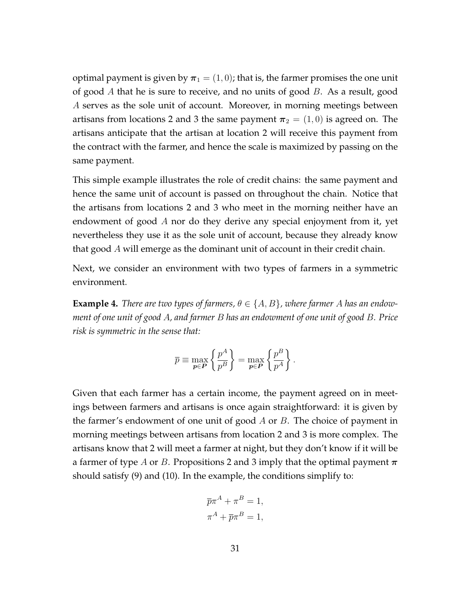optimal payment is given by  $\pi_1 = (1, 0)$ ; that is, the farmer promises the one unit of good *A* that he is sure to receive, and no units of good *B*. As a result, good *A* serves as the sole unit of account. Moreover, in morning meetings between artisans from locations 2 and 3 the same payment  $\pi_2 = (1,0)$  is agreed on. The artisans anticipate that the artisan at location 2 will receive this payment from the contract with the farmer, and hence the scale is maximized by passing on the same payment.

This simple example illustrates the role of credit chains: the same payment and hence the same unit of account is passed on throughout the chain. Notice that the artisans from locations 2 and 3 who meet in the morning neither have an endowment of good *A* nor do they derive any special enjoyment from it, yet nevertheless they use it as the sole unit of account, because they already know that good *A* will emerge as the dominant unit of account in their credit chain.

Next, we consider an environment with two types of farmers in a symmetric environment.

**Example 4.** *There are two types of farmers,*  $\theta \in \{A, B\}$ *, where farmer A has an endowment of one unit of good A, and farmer B has an endowment of one unit of good B. Price risk is symmetric in the sense that:*

$$
\overline{p} \equiv \max_{\boldsymbol{p} \in \boldsymbol{P}} \left\{ \frac{p^A}{p^B} \right\} = \max_{\boldsymbol{p} \in \boldsymbol{P}} \left\{ \frac{p^B}{p^A} \right\}.
$$

Given that each farmer has a certain income, the payment agreed on in meetings between farmers and artisans is once again straightforward: it is given by the farmer's endowment of one unit of good *A* or *B*. The choice of payment in morning meetings between artisans from location 2 and 3 is more complex. The artisans know that 2 will meet a farmer at night, but they don't know if it will be a farmer of type *A* or *B*. Propositions 2 and 3 imply that the optimal payment *π* should satisfy (9) and (10). In the example, the conditions simplify to:

$$
\overline{p}\pi^A + \pi^B = 1,
$$
  

$$
\pi^A + \overline{p}\pi^B = 1,
$$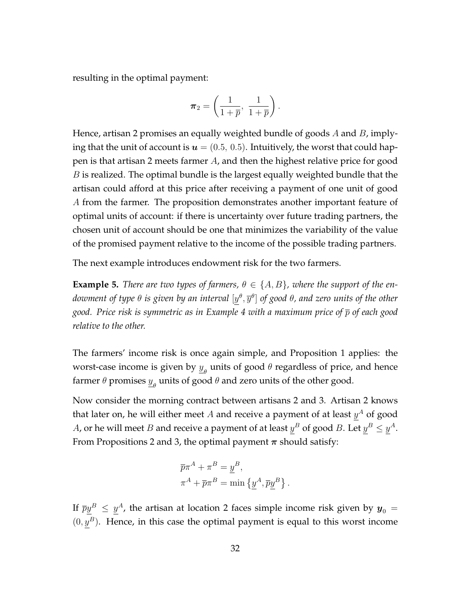resulting in the optimal payment:

$$
\pmb{\pi}_2 = \left(\frac{1}{1+\overline{p}},\; \frac{1}{1+\overline{p}}\right).
$$

Hence, artisan 2 promises an equally weighted bundle of goods *A* and *B*, implying that the unit of account is  $u = (0.5, 0.5)$ . Intuitively, the worst that could happen is that artisan 2 meets farmer *A*, and then the highest relative price for good *B* is realized. The optimal bundle is the largest equally weighted bundle that the artisan could afford at this price after receiving a payment of one unit of good *A* from the farmer. The proposition demonstrates another important feature of optimal units of account: if there is uncertainty over future trading partners, the chosen unit of account should be one that minimizes the variability of the value of the promised payment relative to the income of the possible trading partners.

The next example introduces endowment risk for the two farmers.

**Example 5.** *There are two types of farmers,*  $\theta \in \{A, B\}$ *, where the support of the en* $d$ owment of type  $\theta$  is given by an interval  $[y^\theta, \overline{y}^\theta]$  of good  $\theta$ , and zero units of the other *good. Price risk is symmetric as in Example 4 with a maximum price of p of each good relative to the other.*

The farmers' income risk is once again simple, and Proposition 1 applies: the worst-case income is given by  $\underline{y}_{\theta}$  units of good  $\theta$  regardless of price, and hence farmer  $\theta$  promises  $\underline{y}_{\theta}$  units of good  $\theta$  and zero units of the other good.

Now consider the morning contract between artisans 2 and 3. Artisan 2 knows that later on, he will either meet  $A$  and receive a payment of at least  $y^A$  of good *A*, or he will meet *B* and receive a payment of at least  $y^B$  of good *B*. Let  $y^B \le y^A$ . From Propositions 2 and 3, the optimal payment *π* should satisfy:

$$
\overline{p}\pi^A + \pi^B = \underline{y}^B,
$$
  

$$
\pi^A + \overline{p}\pi^B = \min \{y^A, \overline{p}y^B\}.
$$

If  $\overline{p}\underline{y}^B \,\leq\, \underline{y}^A$ , the artisan at location 2 faces simple income risk given by  $\bm{y}_0\,=\,$  $(0, y^B)$ . Hence, in this case the optimal payment is equal to this worst income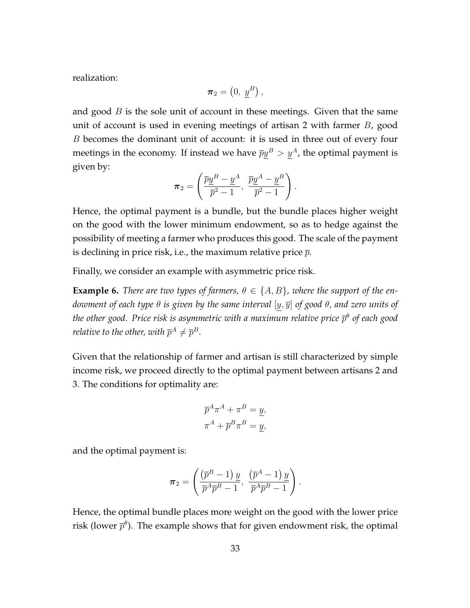realization:

$$
\pi_2 = \left(0, \; \underline{y}^B\right),
$$

and good *B* is the sole unit of account in these meetings. Given that the same unit of account is used in evening meetings of artisan 2 with farmer *B*, good *B* becomes the dominant unit of account: it is used in three out of every four meetings in the economy. If instead we have  $\overline{p}y^B > y^A$ , the optimal payment is given by:

$$
\boldsymbol{\pi}_2 = \left(\frac{\overline{p}\underline{y}^B - \underline{y}^A}{\overline{p}^2 - 1}, \frac{\overline{p}\underline{y}^A - \underline{y}^B}{\overline{p}^2 - 1}\right).
$$

Hence, the optimal payment is a bundle, but the bundle places higher weight on the good with the lower minimum endowment, so as to hedge against the possibility of meeting a farmer who produces this good. The scale of the payment is declining in price risk, i.e., the maximum relative price *p*.

Finally, we consider an example with asymmetric price risk.

**Example 6.** *There are two types of farmers,*  $\theta \in \{A, B\}$ *, where the support of the endowment of each type θ is given by the same interval* [*y, y*] *of good θ, and zero units of the other good. Price risk is asymmetric with a maximum relative price p θ of each good relative to the other, with*  $\overline{p}^A \neq \overline{p}^B$ *.* 

Given that the relationship of farmer and artisan is still characterized by simple income risk, we proceed directly to the optimal payment between artisans 2 and 3. The conditions for optimality are:

$$
\overline{p}^A \pi^A + \pi^B = \underline{y},
$$
  

$$
\pi^A + \overline{p}^B \pi^B = \underline{y},
$$

and the optimal payment is:

$$
\boldsymbol{\pi}_2 = \left(\frac{\left(\overline{p}^B - 1\right)\underline{y}}{\overline{p}^A \overline{p}^B - 1}, \ \frac{\left(\overline{p}^A - 1\right)\underline{y}}{\overline{p}^A \overline{p}^B - 1}\right).
$$

Hence, the optimal bundle places more weight on the good with the lower price risk (lower  $\overline{p}^{\theta}$ ). The example shows that for given endowment risk, the optimal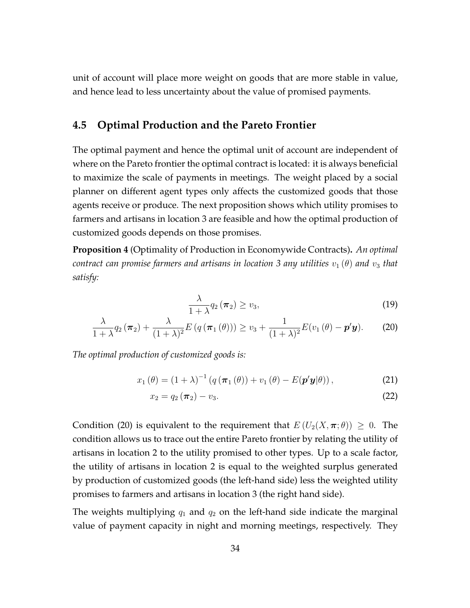unit of account will place more weight on goods that are more stable in value, and hence lead to less uncertainty about the value of promised payments.

#### **4.5 Optimal Production and the Pareto Frontier**

The optimal payment and hence the optimal unit of account are independent of where on the Pareto frontier the optimal contract is located: it is always beneficial to maximize the scale of payments in meetings. The weight placed by a social planner on different agent types only affects the customized goods that those agents receive or produce. The next proposition shows which utility promises to farmers and artisans in location 3 are feasible and how the optimal production of customized goods depends on those promises.

**Proposition 4** (Optimality of Production in Economywide Contracts)**.** *An optimal contract can promise farmers and artisans in location 3 any utilities*  $v_1(\theta)$  *and*  $v_3$  *that satisfy:*

$$
\frac{\lambda}{1+\lambda}q_2(\boldsymbol{\pi}_2)\geq v_3,\tag{19}
$$

$$
\frac{\lambda}{1+\lambda}q_2(\boldsymbol{\pi}_2)+\frac{\lambda}{(1+\lambda)^2}E(q(\boldsymbol{\pi}_1(\theta)))\geq v_3+\frac{1}{(1+\lambda)^2}E(v_1(\theta)-\boldsymbol{p}'\boldsymbol{y}).
$$
 (20)

*The optimal production of customized goods is:*

$$
x_1(\theta) = (1 + \lambda)^{-1} (q(\pi_1(\theta)) + v_1(\theta) - E(\mathbf{p}'\mathbf{y}|\theta)), \qquad (21)
$$

$$
x_2 = q_2(\boldsymbol{\pi}_2) - v_3. \tag{22}
$$

Condition (20) is equivalent to the requirement that  $E(U_2(X, \pi; \theta)) \geq 0$ . The condition allows us to trace out the entire Pareto frontier by relating the utility of artisans in location 2 to the utility promised to other types. Up to a scale factor, the utility of artisans in location 2 is equal to the weighted surplus generated by production of customized goods (the left-hand side) less the weighted utility promises to farmers and artisans in location 3 (the right hand side).

The weights multiplying  $q_1$  and  $q_2$  on the left-hand side indicate the marginal value of payment capacity in night and morning meetings, respectively. They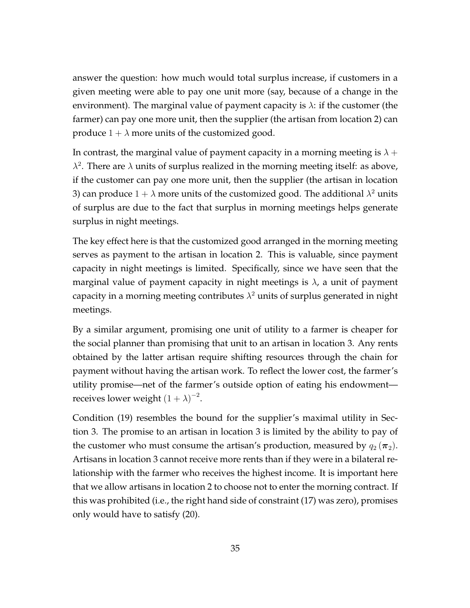answer the question: how much would total surplus increase, if customers in a given meeting were able to pay one unit more (say, because of a change in the environment). The marginal value of payment capacity is *λ*: if the customer (the farmer) can pay one more unit, then the supplier (the artisan from location 2) can produce  $1 + \lambda$  more units of the customized good.

In contrast, the marginal value of payment capacity in a morning meeting is  $\lambda +$  $λ<sup>2</sup>$ . There are  $λ$  units of surplus realized in the morning meeting itself: as above, if the customer can pay one more unit, then the supplier (the artisan in location 3) can produce  $1 + \lambda$  more units of the customized good. The additional  $\lambda^2$  units of surplus are due to the fact that surplus in morning meetings helps generate surplus in night meetings.

The key effect here is that the customized good arranged in the morning meeting serves as payment to the artisan in location 2. This is valuable, since payment capacity in night meetings is limited. Specifically, since we have seen that the marginal value of payment capacity in night meetings is *λ*, a unit of payment capacity in a morning meeting contributes  $\lambda^2$  units of surplus generated in night meetings.

By a similar argument, promising one unit of utility to a farmer is cheaper for the social planner than promising that unit to an artisan in location 3. Any rents obtained by the latter artisan require shifting resources through the chain for payment without having the artisan work. To reflect the lower cost, the farmer's utility promise—net of the farmer's outside option of eating his endowment receives lower weight  $(1 + \lambda)^{-2}$ .

Condition (19) resembles the bound for the supplier's maximal utility in Section 3. The promise to an artisan in location 3 is limited by the ability to pay of the customer who must consume the artisan's production, measured by  $q_2(\pi_2)$ . Artisans in location 3 cannot receive more rents than if they were in a bilateral relationship with the farmer who receives the highest income. It is important here that we allow artisans in location 2 to choose not to enter the morning contract. If this was prohibited (i.e., the right hand side of constraint (17) was zero), promises only would have to satisfy (20).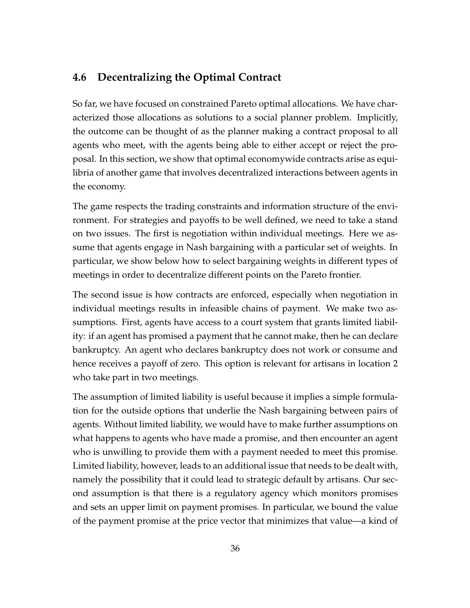### **4.6 Decentralizing the Optimal Contract**

So far, we have focused on constrained Pareto optimal allocations. We have characterized those allocations as solutions to a social planner problem. Implicitly, the outcome can be thought of as the planner making a contract proposal to all agents who meet, with the agents being able to either accept or reject the proposal. In this section, we show that optimal economywide contracts arise as equilibria of another game that involves decentralized interactions between agents in the economy.

The game respects the trading constraints and information structure of the environment. For strategies and payoffs to be well defined, we need to take a stand on two issues. The first is negotiation within individual meetings. Here we assume that agents engage in Nash bargaining with a particular set of weights. In particular, we show below how to select bargaining weights in different types of meetings in order to decentralize different points on the Pareto frontier.

The second issue is how contracts are enforced, especially when negotiation in individual meetings results in infeasible chains of payment. We make two assumptions. First, agents have access to a court system that grants limited liability: if an agent has promised a payment that he cannot make, then he can declare bankruptcy. An agent who declares bankruptcy does not work or consume and hence receives a payoff of zero. This option is relevant for artisans in location 2 who take part in two meetings.

The assumption of limited liability is useful because it implies a simple formulation for the outside options that underlie the Nash bargaining between pairs of agents. Without limited liability, we would have to make further assumptions on what happens to agents who have made a promise, and then encounter an agent who is unwilling to provide them with a payment needed to meet this promise. Limited liability, however, leads to an additional issue that needs to be dealt with, namely the possibility that it could lead to strategic default by artisans. Our second assumption is that there is a regulatory agency which monitors promises and sets an upper limit on payment promises. In particular, we bound the value of the payment promise at the price vector that minimizes that value—a kind of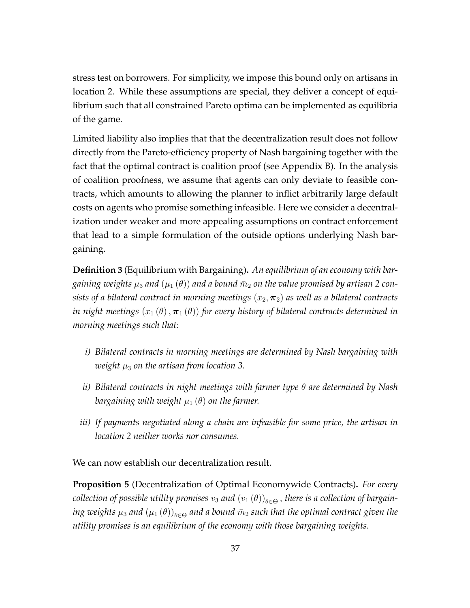stress test on borrowers. For simplicity, we impose this bound only on artisans in location 2. While these assumptions are special, they deliver a concept of equilibrium such that all constrained Pareto optima can be implemented as equilibria of the game.

Limited liability also implies that that the decentralization result does not follow directly from the Pareto-efficiency property of Nash bargaining together with the fact that the optimal contract is coalition proof (see Appendix B). In the analysis of coalition proofness, we assume that agents can only deviate to feasible contracts, which amounts to allowing the planner to inflict arbitrarily large default costs on agents who promise something infeasible. Here we consider a decentralization under weaker and more appealing assumptions on contract enforcement that lead to a simple formulation of the outside options underlying Nash bargaining.

**Definition 3** (Equilibrium with Bargaining)**.** *An equilibrium of an economy with bargaining weights*  $\mu_3$  *and*  $(\mu_1(\theta))$  *and a bound*  $\bar{m}_2$  *on the value promised by artisan* 2 *consists of a bilateral contract in morning meetings*  $(x_2, \pi_2)$  *as well as a bilateral contracts in night meetings*  $(x_1(\theta), \pi_1(\theta))$  for every history of bilateral contracts determined in *morning meetings such that:*

- *i) Bilateral contracts in morning meetings are determined by Nash bargaining with weight*  $\mu_3$  *on the artisan from location 3.*
- *ii) Bilateral contracts in night meetings with farmer type θ are determined by Nash bargaining with weight*  $\mu_1(\theta)$  *on the farmer.*
- *iii) If payments negotiated along a chain are infeasible for some price, the artisan in location 2 neither works nor consumes.*

We can now establish our decentralization result.

**Proposition 5** (Decentralization of Optimal Economywide Contracts)**.** *For every*  $c$ ollection of possible utility promises  $v_3$  and  $(v_1\left(\theta\right))_{\theta \in \Theta}$  , there is a collection of bargain $i$ ng weights  $\mu_3$  and  $(\mu_1\left(\theta\right))_{\theta\in\Theta}$  and a bound  $\bar{m}_2$  such that the optimal contract given the *utility promises is an equilibrium of the economy with those bargaining weights.*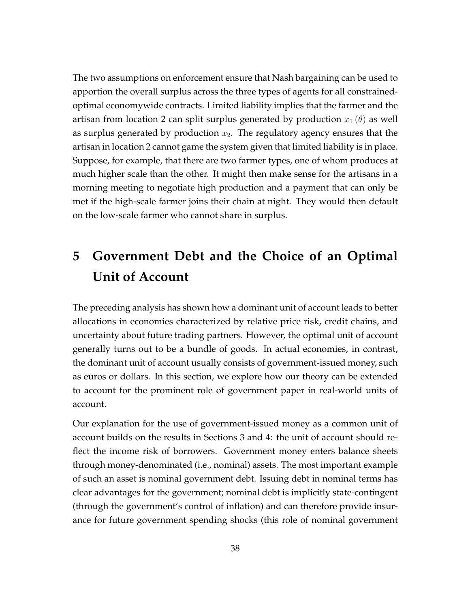The two assumptions on enforcement ensure that Nash bargaining can be used to apportion the overall surplus across the three types of agents for all constrainedoptimal economywide contracts. Limited liability implies that the farmer and the artisan from location 2 can split surplus generated by production  $x_1(\theta)$  as well as surplus generated by production  $x_2$ . The regulatory agency ensures that the artisan in location 2 cannot game the system given that limited liability is in place. Suppose, for example, that there are two farmer types, one of whom produces at much higher scale than the other. It might then make sense for the artisans in a morning meeting to negotiate high production and a payment that can only be met if the high-scale farmer joins their chain at night. They would then default on the low-scale farmer who cannot share in surplus.

# **5 Government Debt and the Choice of an Optimal Unit of Account**

The preceding analysis has shown how a dominant unit of account leads to better allocations in economies characterized by relative price risk, credit chains, and uncertainty about future trading partners. However, the optimal unit of account generally turns out to be a bundle of goods. In actual economies, in contrast, the dominant unit of account usually consists of government-issued money, such as euros or dollars. In this section, we explore how our theory can be extended to account for the prominent role of government paper in real-world units of account.

Our explanation for the use of government-issued money as a common unit of account builds on the results in Sections 3 and 4: the unit of account should reflect the income risk of borrowers. Government money enters balance sheets through money-denominated (i.e., nominal) assets. The most important example of such an asset is nominal government debt. Issuing debt in nominal terms has clear advantages for the government; nominal debt is implicitly state-contingent (through the government's control of inflation) and can therefore provide insurance for future government spending shocks (this role of nominal government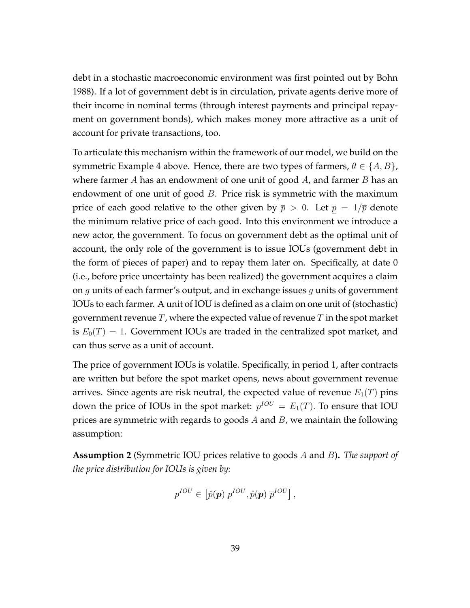debt in a stochastic macroeconomic environment was first pointed out by Bohn 1988). If a lot of government debt is in circulation, private agents derive more of their income in nominal terms (through interest payments and principal repayment on government bonds), which makes money more attractive as a unit of account for private transactions, too.

To articulate this mechanism within the framework of our model, we build on the symmetric Example 4 above. Hence, there are two types of farmers,  $\theta \in \{A, B\}$ , where farmer *A* has an endowment of one unit of good *A*, and farmer *B* has an endowment of one unit of good *B*. Price risk is symmetric with the maximum price of each good relative to the other given by  $\bar{p} > 0$ . Let  $p = 1/\bar{p}$  denote the minimum relative price of each good. Into this environment we introduce a new actor, the government. To focus on government debt as the optimal unit of account, the only role of the government is to issue IOUs (government debt in the form of pieces of paper) and to repay them later on. Specifically, at date 0 (i.e., before price uncertainty has been realized) the government acquires a claim on *g* units of each farmer's output, and in exchange issues *g* units of government IOUs to each farmer. A unit of IOU is defined as a claim on one unit of (stochastic) government revenue *T*, where the expected value of revenue *T* in the spot market is  $E_0(T) = 1$ . Government IOUs are traded in the centralized spot market, and can thus serve as a unit of account.

The price of government IOUs is volatile. Specifically, in period 1, after contracts are written but before the spot market opens, news about government revenue arrives. Since agents are risk neutral, the expected value of revenue  $E_1(T)$  pins down the price of IOUs in the spot market:  $p^{IOU} = E_1(T)$ . To ensure that IOU prices are symmetric with regards to goods *A* and *B*, we maintain the following assumption:

**Assumption 2** (Symmetric IOU prices relative to goods *A* and *B*)**.** *The support of the price distribution for IOUs is given by:*

$$
p^{IOU} \in \left[ \hat{p}(\boldsymbol{p}) \ p^{IOU}, \hat{p}(\boldsymbol{p}) \ \overline{p}^{IOU} \right],
$$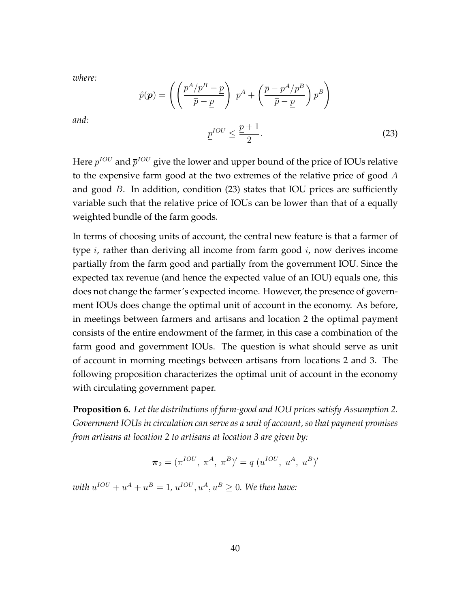*where:*

$$
\hat{p}(\mathbf{p}) = \left( \left( \frac{p^A/p^B - p}{\overline{p} - \underline{p}} \right) p^A + \left( \frac{\overline{p} - p^A/p^B}{\overline{p} - \underline{p}} \right) p^B \right)
$$

*and:*

$$
\underline{p}^{IOU} \le \frac{\underline{p}+1}{2}.\tag{23}
$$

Here  $p^{IOU}$  and  $\overline{p}^{IOU}$  give the lower and upper bound of the price of IOUs relative to the expensive farm good at the two extremes of the relative price of good *A* and good *B*. In addition, condition (23) states that IOU prices are sufficiently variable such that the relative price of IOUs can be lower than that of a equally weighted bundle of the farm goods.

In terms of choosing units of account, the central new feature is that a farmer of type *i*, rather than deriving all income from farm good *i*, now derives income partially from the farm good and partially from the government IOU. Since the expected tax revenue (and hence the expected value of an IOU) equals one, this does not change the farmer's expected income. However, the presence of government IOUs does change the optimal unit of account in the economy. As before, in meetings between farmers and artisans and location 2 the optimal payment consists of the entire endowment of the farmer, in this case a combination of the farm good and government IOUs. The question is what should serve as unit of account in morning meetings between artisans from locations 2 and 3. The following proposition characterizes the optimal unit of account in the economy with circulating government paper.

**Proposition 6.** *Let the distributions of farm-good and IOU prices satisfy Assumption 2. Government IOUs in circulation can serve as a unit of account, so that payment promises from artisans at location 2 to artisans at location 3 are given by:*

$$
\pi_2 = (\pi^{IOU}, \pi^A, \pi^B)' = q (u^{IOU}, u^A, u^B)'
$$

 $with u^{IOU} + u^A + u^B = 1$ ,  $u^{IOU}, u^A, u^B \geq 0$ . We then have: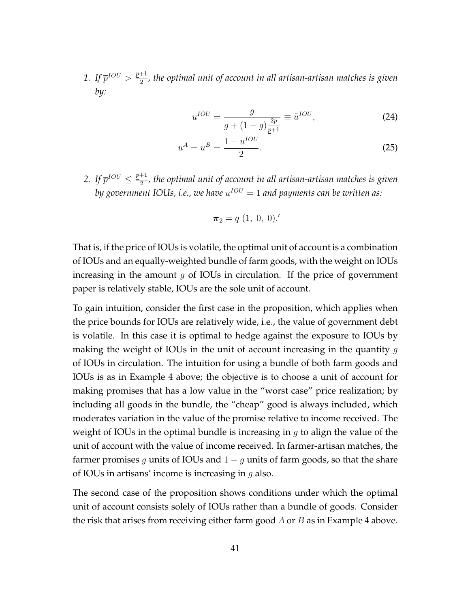*1.* If  $\bar{p}^{IOU} > \frac{p+1}{2}$  $\frac{1}{2}$ , the optimal unit of account in all artisan-artisan matches is given *by:*

$$
u^{IOU} = \frac{g}{g + (1 - g)\frac{2p}{p+1}} \equiv \tilde{u}^{IOU},
$$
 (24)

$$
u^A = u^B = \frac{1 - u^{IOU}}{2}.
$$
\n(25)

2. If  $\bar{p}^{IOU} \le \frac{p+1}{2}$  $\frac{1}{2}$ , the optimal unit of account in all artisan-artisan matches is given  $by$  government IOUs, i.e., we have  $u^{IOU} = 1$  and payments can be written as:

$$
\boldsymbol{\pi}_2 = q\ (1,\ 0,\ 0).'
$$

That is, if the price of IOUs is volatile, the optimal unit of account is a combination of IOUs and an equally-weighted bundle of farm goods, with the weight on IOUs increasing in the amount *g* of IOUs in circulation. If the price of government paper is relatively stable, IOUs are the sole unit of account.

To gain intuition, consider the first case in the proposition, which applies when the price bounds for IOUs are relatively wide, i.e., the value of government debt is volatile. In this case it is optimal to hedge against the exposure to IOUs by making the weight of IOUs in the unit of account increasing in the quantity *g* of IOUs in circulation. The intuition for using a bundle of both farm goods and IOUs is as in Example 4 above; the objective is to choose a unit of account for making promises that has a low value in the "worst case" price realization; by including all goods in the bundle, the "cheap" good is always included, which moderates variation in the value of the promise relative to income received. The weight of IOUs in the optimal bundle is increasing in *g* to align the value of the unit of account with the value of income received. In farmer-artisan matches, the farmer promises *g* units of IOUs and 1 *− g* units of farm goods, so that the share of IOUs in artisans' income is increasing in *g* also.

The second case of the proposition shows conditions under which the optimal unit of account consists solely of IOUs rather than a bundle of goods. Consider the risk that arises from receiving either farm good *A* or *B* as in Example 4 above.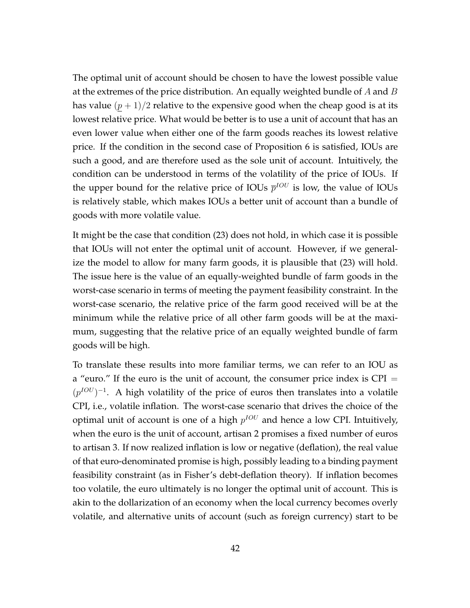The optimal unit of account should be chosen to have the lowest possible value at the extremes of the price distribution. An equally weighted bundle of *A* and *B* has value  $(p+1)/2$  relative to the expensive good when the cheap good is at its lowest relative price. What would be better is to use a unit of account that has an even lower value when either one of the farm goods reaches its lowest relative price. If the condition in the second case of Proposition 6 is satisfied, IOUs are such a good, and are therefore used as the sole unit of account. Intuitively, the condition can be understood in terms of the volatility of the price of IOUs. If the upper bound for the relative price of IOUs  $\bar{p}^{IOU}$  is low, the value of IOUs is relatively stable, which makes IOUs a better unit of account than a bundle of goods with more volatile value.

It might be the case that condition (23) does not hold, in which case it is possible that IOUs will not enter the optimal unit of account. However, if we generalize the model to allow for many farm goods, it is plausible that (23) will hold. The issue here is the value of an equally-weighted bundle of farm goods in the worst-case scenario in terms of meeting the payment feasibility constraint. In the worst-case scenario, the relative price of the farm good received will be at the minimum while the relative price of all other farm goods will be at the maximum, suggesting that the relative price of an equally weighted bundle of farm goods will be high.

To translate these results into more familiar terms, we can refer to an IOU as a "euro." If the euro is the unit of account, the consumer price index is CPI = (*p*<sup>*IOU*</sup>)<sup>-1</sup>. A high volatility of the price of euros then translates into a volatile CPI, i.e., volatile inflation. The worst-case scenario that drives the choice of the optimal unit of account is one of a high  $p^{IOU}$  and hence a low CPI. Intuitively, when the euro is the unit of account, artisan 2 promises a fixed number of euros to artisan 3. If now realized inflation is low or negative (deflation), the real value of that euro-denominated promise is high, possibly leading to a binding payment feasibility constraint (as in Fisher's debt-deflation theory). If inflation becomes too volatile, the euro ultimately is no longer the optimal unit of account. This is akin to the dollarization of an economy when the local currency becomes overly volatile, and alternative units of account (such as foreign currency) start to be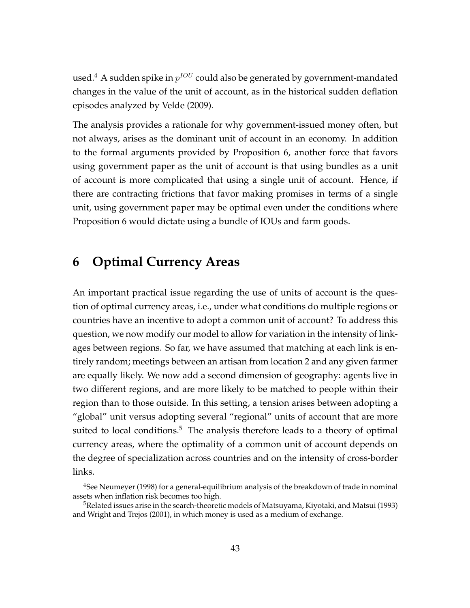used. $^4$  A sudden spike in  $p^{IOU}$  could also be generated by government-mandated changes in the value of the unit of account, as in the historical sudden deflation episodes analyzed by Velde (2009).

The analysis provides a rationale for why government-issued money often, but not always, arises as the dominant unit of account in an economy. In addition to the formal arguments provided by Proposition 6, another force that favors using government paper as the unit of account is that using bundles as a unit of account is more complicated that using a single unit of account. Hence, if there are contracting frictions that favor making promises in terms of a single unit, using government paper may be optimal even under the conditions where Proposition 6 would dictate using a bundle of IOUs and farm goods.

## **6 Optimal Currency Areas**

An important practical issue regarding the use of units of account is the question of optimal currency areas, i.e., under what conditions do multiple regions or countries have an incentive to adopt a common unit of account? To address this question, we now modify our model to allow for variation in the intensity of linkages between regions. So far, we have assumed that matching at each link is entirely random; meetings between an artisan from location 2 and any given farmer are equally likely. We now add a second dimension of geography: agents live in two different regions, and are more likely to be matched to people within their region than to those outside. In this setting, a tension arises between adopting a "global" unit versus adopting several "regional" units of account that are more suited to local conditions. $5$  The analysis therefore leads to a theory of optimal currency areas, where the optimality of a common unit of account depends on the degree of specialization across countries and on the intensity of cross-border links.

<sup>&</sup>lt;sup>4</sup>See Neumeyer (1998) for a general-equilibrium analysis of the breakdown of trade in nominal assets when inflation risk becomes too high.

<sup>&</sup>lt;sup>5</sup>Related issues arise in the search-theoretic models of Matsuyama, Kiyotaki, and Matsui (1993) and Wright and Trejos (2001), in which money is used as a medium of exchange.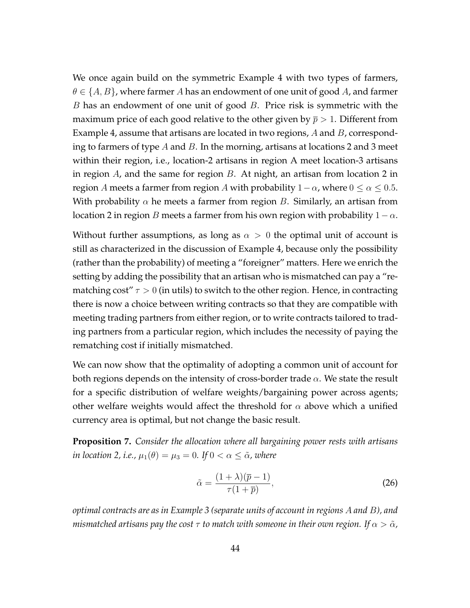We once again build on the symmetric Example 4 with two types of farmers, *θ ∈ {A, B}*, where farmer *A* has an endowment of one unit of good *A*, and farmer *B* has an endowment of one unit of good *B*. Price risk is symmetric with the maximum price of each good relative to the other given by  $\bar{p} > 1$ . Different from Example 4, assume that artisans are located in two regions, *A* and *B*, corresponding to farmers of type *A* and *B*. In the morning, artisans at locations 2 and 3 meet within their region, i.e., location-2 artisans in region A meet location-3 artisans in region *A*, and the same for region *B*. At night, an artisan from location 2 in region *A* meets a farmer from region *A* with probability  $1 - \alpha$ , where  $0 \le \alpha \le 0.5$ . With probability  $\alpha$  he meets a farmer from region *B*. Similarly, an artisan from location 2 in region *B* meets a farmer from his own region with probability  $1 - \alpha$ .

Without further assumptions, as long as  $\alpha > 0$  the optimal unit of account is still as characterized in the discussion of Example 4, because only the possibility (rather than the probability) of meeting a "foreigner" matters. Here we enrich the setting by adding the possibility that an artisan who is mismatched can pay a "rematching cost"  $\tau > 0$  (in utils) to switch to the other region. Hence, in contracting there is now a choice between writing contracts so that they are compatible with meeting trading partners from either region, or to write contracts tailored to trading partners from a particular region, which includes the necessity of paying the rematching cost if initially mismatched.

We can now show that the optimality of adopting a common unit of account for both regions depends on the intensity of cross-border trade *α*. We state the result for a specific distribution of welfare weights/bargaining power across agents; other welfare weights would affect the threshold for *α* above which a unified currency area is optimal, but not change the basic result.

**Proposition 7.** *Consider the allocation where all bargaining power rests with artisans in location 2, i.e.,*  $\mu_1(\theta) = \mu_3 = 0$ *. If*  $0 < \alpha \leq \tilde{\alpha}$ *, where* 

$$
\tilde{\alpha} = \frac{(1+\lambda)(\overline{p}-1)}{\tau(1+\overline{p})},\tag{26}
$$

*optimal contracts are as in Example 3 (separate units of account in regions A and B), and mismatched artisans pay the cost*  $\tau$  *to match with someone in their own region.* If  $\alpha > \tilde{\alpha}$ *,*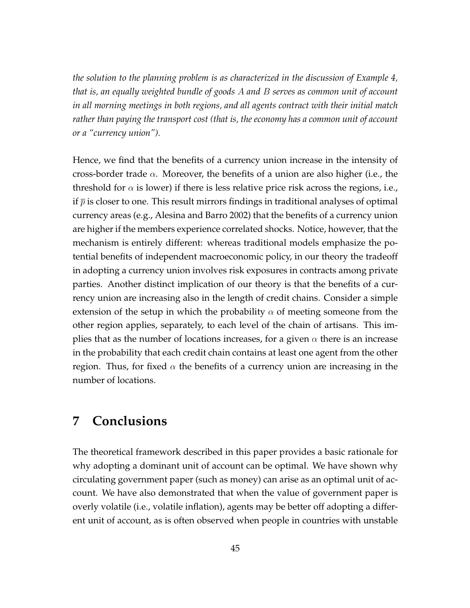*the solution to the planning problem is as characterized in the discussion of Example 4, that is, an equally weighted bundle of goods A and B serves as common unit of account in all morning meetings in both regions, and all agents contract with their initial match rather than paying the transport cost (that is, the economy has a common unit of account or a "currency union").*

Hence, we find that the benefits of a currency union increase in the intensity of cross-border trade *α*. Moreover, the benefits of a union are also higher (i.e., the threshold for  $\alpha$  is lower) if there is less relative price risk across the regions, i.e., if  $\bar{p}$  is closer to one. This result mirrors findings in traditional analyses of optimal currency areas (e.g., Alesina and Barro 2002) that the benefits of a currency union are higher if the members experience correlated shocks. Notice, however, that the mechanism is entirely different: whereas traditional models emphasize the potential benefits of independent macroeconomic policy, in our theory the tradeoff in adopting a currency union involves risk exposures in contracts among private parties. Another distinct implication of our theory is that the benefits of a currency union are increasing also in the length of credit chains. Consider a simple extension of the setup in which the probability  $\alpha$  of meeting someone from the other region applies, separately, to each level of the chain of artisans. This implies that as the number of locations increases, for a given  $\alpha$  there is an increase in the probability that each credit chain contains at least one agent from the other region. Thus, for fixed  $\alpha$  the benefits of a currency union are increasing in the number of locations.

## **7 Conclusions**

The theoretical framework described in this paper provides a basic rationale for why adopting a dominant unit of account can be optimal. We have shown why circulating government paper (such as money) can arise as an optimal unit of account. We have also demonstrated that when the value of government paper is overly volatile (i.e., volatile inflation), agents may be better off adopting a different unit of account, as is often observed when people in countries with unstable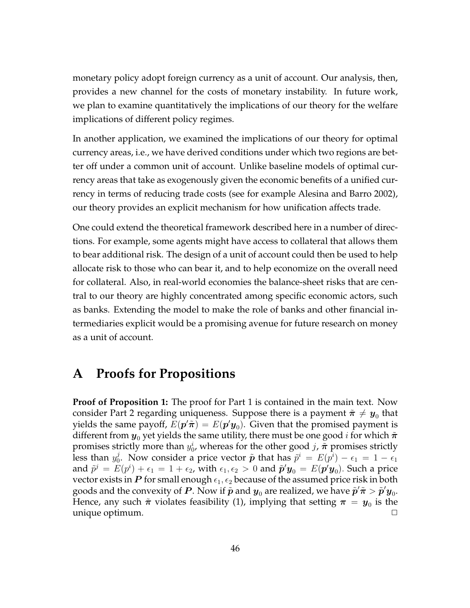monetary policy adopt foreign currency as a unit of account. Our analysis, then, provides a new channel for the costs of monetary instability. In future work, we plan to examine quantitatively the implications of our theory for the welfare implications of different policy regimes.

In another application, we examined the implications of our theory for optimal currency areas, i.e., we have derived conditions under which two regions are better off under a common unit of account. Unlike baseline models of optimal currency areas that take as exogenously given the economic benefits of a unified currency in terms of reducing trade costs (see for example Alesina and Barro 2002), our theory provides an explicit mechanism for how unification affects trade.

One could extend the theoretical framework described here in a number of directions. For example, some agents might have access to collateral that allows them to bear additional risk. The design of a unit of account could then be used to help allocate risk to those who can bear it, and to help economize on the overall need for collateral. Also, in real-world economies the balance-sheet risks that are central to our theory are highly concentrated among specific economic actors, such as banks. Extending the model to make the role of banks and other financial intermediaries explicit would be a promising avenue for future research on money as a unit of account.

## **A Proofs for Propositions**

**Proof of Proposition 1:** The proof for Part 1 is contained in the main text. Now consider Part 2 regarding uniqueness. Suppose there is a payment  $\tilde{\bm{\pi}} \neq \bm{y}_0$  that yields the same payoff,  $E(\bm{p}'\tilde{\bm{\pi}}) = E(\bm{p}'\bm{y}_0).$  Given that the promised payment is different from  $y_0$  yet yields the same utility, there must be one good *i* for which  $\tilde{\pi}$ promises strictly more than  $y_0^i$ , whereas for the other good *j*,  $\tilde{\boldsymbol{\pi}}$  promises strictly less than  $y_0^j$  $\tilde{p}$ <sup>*i*</sup>. Now consider a price vector  $\tilde{p}$  that has  $\tilde{p}$ <sup>*i*</sup> =  $E(p^i) - \epsilon_1 = 1 - \epsilon_1$ and  $\tilde{p}^j = E(p^i) + \epsilon_1 = 1 + \epsilon_2$ , with  $\epsilon_1, \epsilon_2 > 0$  and  $\tilde{\bm{p}}'\bm{y}_0 = E(\bm{p'}\bm{y}_0)$ . Such a price vector exists in  $P$  for small enough  $\epsilon_1, \epsilon_2$  because of the assumed price risk in both goods and the convexity of  $P$ . Now if  $\tilde{p}$  and  $y_{0}$  are realized, we have  $\tilde{p}'\tilde{\pi} > \tilde{p}'y_{0}$ . Hence, any such  $\tilde{\bm{\pi}}$  violates feasibility (1), implying that setting  $\bm{\pi} \,=\, \bm{y}_0$  is the unique optimum. *✷*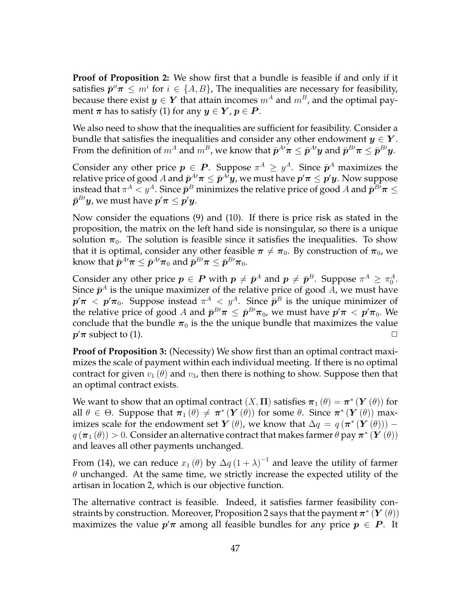**Proof of Proposition 2:** We show first that a bundle is feasible if and only if it satisfies  $\bar{p}^i \pi \leq m^i$  for  $i \in \{A, B\}$ , The inequalities are necessary for feasibility, because there exist  $y \in Y$  that attain incomes  $m^A$  and  $m^B$ , and the optimal payment  $\pi$  has to satisfy (1) for any  $y \in Y$ ,  $p \in P$ .

We also need to show that the inequalities are sufficient for feasibility. Consider a bundle that satisfies the inequalities and consider any other endowment  $y \in Y$ . From the definition of  $m^A$  and  $m^B$ , we know that  $\bar{\bm{p}}^{A\prime}\bm{\pi}\leq\bar{\bm{p}}^{A\prime}\bm{y}$  and  $\bar{\bm{p}}^{B\prime}\bm{\pi}\leq\bar{\bm{p}}^{B\prime}\bm{y}.$ 

Consider any other price  $p \in P$ . Suppose  $\pi^A \geq y^A$ . Since  $\bar{p}^A$  maximizes the relative price of good  $A$  and  $\bar{p}^{A\prime}\pi\leq\bar{p}^{A\prime}y$ , we must have  $p^{\prime}\pi\leq p^{\prime}y.$  Now suppose  $\bar{p}$  instead that  $\pi^A < y^A.$  Since  $\bar{p}^B$  minimizes the relative price of good  $A$  and  $\bar{p}^{B\prime}\pi \leq 1$  $\bar{p}^{B\prime}y$ , we must have  $p^{\prime}\pi\leq p^{\prime}y.$ 

Now consider the equations (9) and (10). If there is price risk as stated in the proposition, the matrix on the left hand side is nonsingular, so there is a unique solution  $\pi_0$ . The solution is feasible since it satisfies the inequalities. To show that it is optimal, consider any other feasible  $\pi \neq \pi_0$ . By construction of  $\pi_0$ , we  $\lambda$  know that  $\bar{p}^{A\prime}\pi\leq\bar{p}^{A\prime}\pi_0$  and  $\bar{p}^{B\prime}\pi\leq\bar{p}^{B\prime}\pi_0.$ 

Consider any other price  $p \in P$  with  $p \neq \bar{p}^A$  and  $p \neq \bar{p}^B$ . Suppose  $\pi^A \geq \pi_0^A$ . Since  $\bar{\bm{p}}^A$  is the unique maximizer of the relative price of good  $A$ , we must have  $\bm{p}'\bm{\pi}$   $<$   $\bm{p}'\bm{\pi}_0$ . Suppose instead  $\pi^A$   $<$   $y^A$ . Since  $\bar{\bm{p}}^B$  is the unique minimizer of the relative price of good *A* and  $\bar{p}^{B\prime}\pi \leq \bar{p}^{B\prime}\pi_0$ , we must have  $p'\pi < p'\pi_0$ . We conclude that the bundle  $\pi_0$  is the the unique bundle that maximizes the value  $p'$  $\pi$  subject to (1).  $\Box$ 

**Proof of Proposition 3:** (Necessity) We show first than an optimal contract maximizes the scale of payment within each individual meeting. If there is no optimal contract for given  $v_1(\theta)$  and  $v_3$ , then there is nothing to show. Suppose then that an optimal contract exists.

We want to show that an optimal contract  $(X,\Pi)$  satisfies  $\boldsymbol{\pi}_1\left(\theta\right)=\boldsymbol{\pi}^{*}\left(\boldsymbol{Y}\left(\theta\right)\right)$  for all  $\theta \in \Theta$ . Suppose that  $\pi_1(\theta) \neq \pi^*({\bm Y}(\theta))$  for some  $\theta$ . Since  $\pi^*({\bm Y}(\theta))$  maximizes scale for the endowment set  $\bm{Y}\left(\theta\right)$ , we know that  $\Delta q\,=\,q\left(\bm{\pi}^{*}\left(\bm{Y}\left(\theta\right)\right)\right)\,$  $q\left(\bm{\pi}_{1}\left(\theta\right)\right)>0.$  Consider an alternative contract that makes farmer  $\theta$  pay  $\bm{\pi}^{*}\left(\bm{Y}\left(\theta\right)\right)$ and leaves all other payments unchanged.

From (14), we can reduce  $x_1(\theta)$  by  $\Delta q\left(1+\lambda\right)^{-1}$  and leave the utility of farmer *θ* unchanged. At the same time, we strictly increase the expected utility of the artisan in location 2, which is our objective function.

The alternative contract is feasible. Indeed, it satisfies farmer feasibility constraints by construction. Moreover, Proposition 2 says that the payment *π ∗* (*Y* (*θ*)) maximizes the value  $p'\pi$  among all feasible bundles for *any* price  $p\,\in\, P.$  It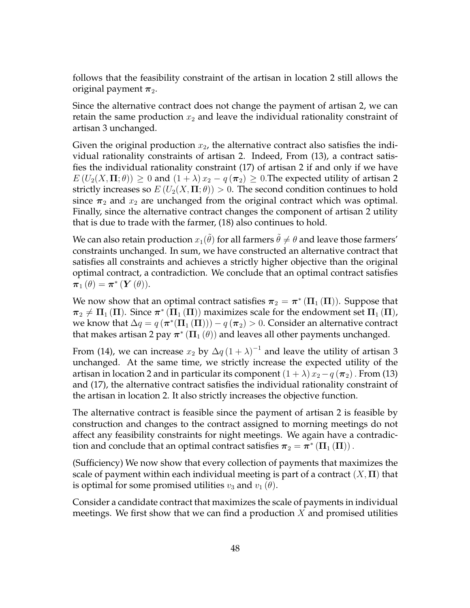follows that the feasibility constraint of the artisan in location 2 still allows the original payment  $\pi_2$ .

Since the alternative contract does not change the payment of artisan 2, we can retain the same production  $x_2$  and leave the individual rationality constraint of artisan 3 unchanged.

Given the original production  $x_2$ , the alternative contract also satisfies the individual rationality constraints of artisan 2. Indeed, From (13), a contract satisfies the individual rationality constraint (17) of artisan 2 if and only if we have  $E(U_2(X,\Pi;\theta)) \geq 0$  and  $(1+\lambda)x_2 - q(\pi_2) \geq 0$ . The expected utility of artisan 2 strictly increases so  $E(U_2(X, \Pi; \theta)) > 0$ . The second condition continues to hold since  $\pi_2$  and  $x_2$  are unchanged from the original contract which was optimal. Finally, since the alternative contract changes the component of artisan 2 utility that is due to trade with the farmer, (18) also continues to hold.

We can also retain production  $x_1(\tilde{\theta})$  for all farmers  $\tilde{\theta}\neq\theta$  and leave those farmers' constraints unchanged. In sum, we have constructed an alternative contract that satisfies all constraints and achieves a strictly higher objective than the original optimal contract, a contradiction. We conclude that an optimal contract satisfies  $\boldsymbol{\pi}_{1}\left(\theta\right)=\boldsymbol{\pi}^{*}\left(\boldsymbol{Y}\left(\theta\right)\right)$ .

We now show that an optimal contract satisfies  $\bm{\pi}_2 = \bm{\pi}^* \left(\bm{\Pi}_1\left(\bm{\Pi}\right)\right)$ . Suppose that  $\pi_2 \neq \Pi_1\left(\Pi\right)$ . Since  $\pi^\ast\left(\Pi_1\left(\Pi\right)\right)$  maximizes scale for the endowment set  $\Pi_1\left(\Pi\right)$ , we know that  $\Delta q = q\left(\bm{\pi}^*(\bm{\Pi}_1\left(\bm{\Pi}\right)\right) )-q\left(\bm{\pi}_2\right) >0.$  Consider an alternative contract that makes artisan 2 pay *π ∗* (**Π**<sup>1</sup> (*θ*)) and leaves all other payments unchanged.

From (14), we can increase  $x_2$  by  $\Delta q \left(1 + \lambda\right)^{-1}$  and leave the utility of artisan 3 unchanged. At the same time, we strictly increase the expected utility of the artisan in location 2 and in particular its component  $(1 + \lambda)x_2 - q(\pi_2)$ . From (13) and (17), the alternative contract satisfies the individual rationality constraint of the artisan in location 2. It also strictly increases the objective function.

The alternative contract is feasible since the payment of artisan 2 is feasible by construction and changes to the contract assigned to morning meetings do not affect any feasibility constraints for night meetings. We again have a contradiction and conclude that an optimal contract satisfies  $\boldsymbol{\pi}_2 = \boldsymbol{\pi}^*\left(\boldsymbol{\Pi}_1\left(\boldsymbol{\Pi}\right)\right)$  .

(Sufficiency) We now show that every collection of payments that maximizes the scale of payment within each individual meeting is part of a contract (*X,* **Π**) that is optimal for some promised utilities  $v_3$  and  $v_1(\theta)$ .

Consider a candidate contract that maximizes the scale of payments in individual meetings. We first show that we can find a production *X* and promised utilities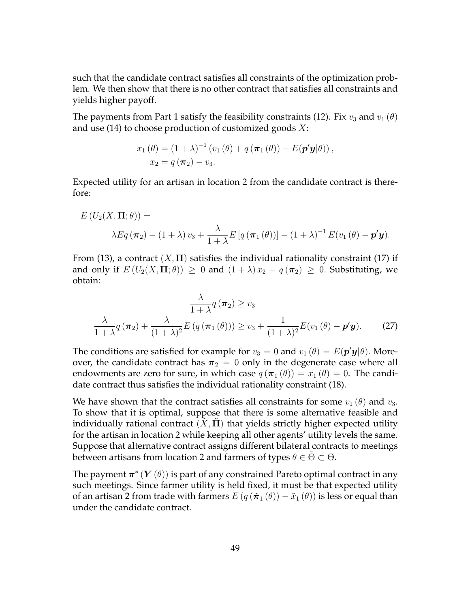such that the candidate contract satisfies all constraints of the optimization problem. We then show that there is no other contract that satisfies all constraints and yields higher payoff.

The payments from Part 1 satisfy the feasibility constraints (12). Fix  $v_3$  and  $v_1(\theta)$ and use (14) to choose production of customized goods *X*:

$$
x_1(\theta) = (1 + \lambda)^{-1} (v_1(\theta) + q(\pi_1(\theta)) - E(\mathbf{p}'\mathbf{y}|\theta)),
$$
  
\n
$$
x_2 = q(\pi_2) - v_3.
$$

Expected utility for an artisan in location 2 from the candidate contract is therefore:

$$
E(U_2(X,\Pi;\theta)) =
$$
  
\n
$$
\lambda Eq(\boldsymbol{\pi}_2) - (1+\lambda)v_3 + \frac{\lambda}{1+\lambda}E[q(\boldsymbol{\pi}_1(\theta))] - (1+\lambda)^{-1}E(v_1(\theta) - \boldsymbol{p}'\boldsymbol{y}).
$$

From (13), a contract  $(X, \Pi)$  satisfies the individual rationality constraint (17) if and only if  $E(U_2(X,\Pi;\theta)) \geq 0$  and  $(1+\lambda)x_2 - q(\pi_2) \geq 0$ . Substituting, we obtain:

$$
\frac{\lambda}{1+\lambda}q(\boldsymbol{\pi}_2) \ge v_3
$$

$$
\frac{\lambda}{1+\lambda}q(\boldsymbol{\pi}_2) + \frac{\lambda}{(1+\lambda)^2}E(q(\boldsymbol{\pi}_1(\theta))) \ge v_3 + \frac{1}{(1+\lambda)^2}E(v_1(\theta) - \boldsymbol{p}'\boldsymbol{y}).
$$
 (27)

The conditions are satisfied for example for  $v_3 = 0$  and  $v_1(\theta) = E(\mathbf{p}'\mathbf{y}|\theta)$ . Moreover, the candidate contract has  $\pi_2 = 0$  only in the degenerate case where all endowments are zero for sure, in which case  $q(\pi_1(\theta)) = x_1(\theta) = 0$ . The candidate contract thus satisfies the individual rationality constraint (18).

We have shown that the contract satisfies all constraints for some  $v_1(\theta)$  and  $v_3$ . To show that it is optimal, suppose that there is some alternative feasible and individually rational contract  $(X, \Pi)$  that yields strictly higher expected utility for the artisan in location 2 while keeping all other agents' utility levels the same. Suppose that alternative contract assigns different bilateral contracts to meetings between artisans from location 2 and farmers of types  $\theta \in \tilde{\Theta} \subset \Theta$ .

The payment *π ∗* (*Y* (*θ*)) is part of any constrained Pareto optimal contract in any such meetings. Since farmer utility is held fixed, it must be that expected utility of an artisan 2 from trade with farmers  $E(q(\tilde{\pi}_1(\theta)) - \tilde{x}_1(\theta))$  is less or equal than under the candidate contract.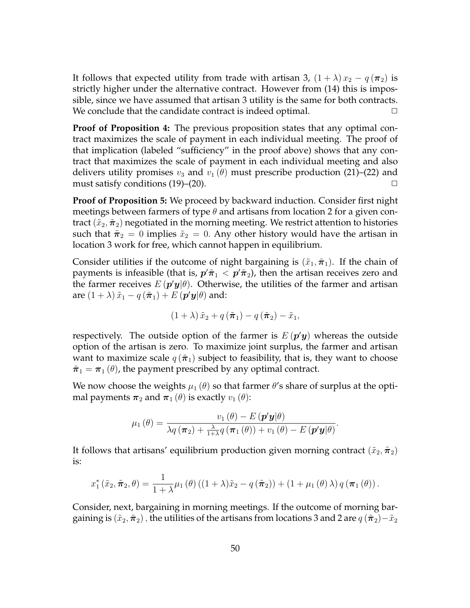It follows that expected utility from trade with artisan 3,  $(1 + \lambda)x_2 - q(\pi_2)$  is strictly higher under the alternative contract. However from (14) this is impossible, since we have assumed that artisan 3 utility is the same for both contracts. We conclude that the candidate contract is indeed optimal. **□** 

**Proof of Proposition 4:** The previous proposition states that any optimal contract maximizes the scale of payment in each individual meeting. The proof of that implication (labeled "sufficiency" in the proof above) shows that any contract that maximizes the scale of payment in each individual meeting and also delivers utility promises  $v_3$  and  $v_1(\theta)$  must prescribe production (21)–(22) and must satisfy conditions  $(19)$ – $(20)$ .  $\Box$ 

**Proof of Proposition 5:** We proceed by backward induction. Consider first night meetings between farmers of type *θ* and artisans from location 2 for a given contract  $(\tilde{x}_2, \tilde{\pi}_2)$  negotiated in the morning meeting. We restrict attention to histories such that  $\tilde{\pi}_2 = 0$  implies  $\tilde{x}_2 = 0$ . Any other history would have the artisan in location 3 work for free, which cannot happen in equilibrium.

Consider utilities if the outcome of night bargaining is  $(\tilde{x}_1, \tilde{\pi}_1)$ . If the chain of payments is infeasible (that is,  $p' \tilde{\pi}_1 < p' \tilde{\pi}_2$ ), then the artisan receives zero and the farmer receives  $E\left(\boldsymbol{p'}\boldsymbol{y}|\theta\right)$ . Otherwise, the utilities of the farmer and artisan  $\tilde{x}_1 - q\left(\tilde{\boldsymbol{\pi}}_1\right) + E\left(\boldsymbol{p}'\boldsymbol{y}|\theta\right)$  and:

$$
(1+\lambda)\,\tilde{x}_2+q\left(\tilde{\boldsymbol{\pi}}_1\right)-q\left(\tilde{\boldsymbol{\pi}}_2\right)-\tilde{x}_1,
$$

respectively. The outside option of the farmer is  $E(p'y)$  whereas the outside option of the artisan is zero. To maximize joint surplus, the farmer and artisan want to maximize scale  $q(\tilde{\pi}_1)$  subject to feasibility, that is, they want to choose  $\tilde{\pi}_1 = \pi_1(\theta)$ , the payment prescribed by any optimal contract.

We now choose the weights  $\mu_1(\theta)$  so that farmer  $\theta$ 's share of surplus at the optimal payments  $\pi_2$  and  $\pi_1$  ( $\theta$ ) is exactly  $v_1$  ( $\theta$ ):

$$
\mu_1(\theta) = \frac{v_1(\theta) - E(\mathbf{p}'\mathbf{y}|\theta)}{\lambda q(\boldsymbol{\pi}_2) + \frac{\lambda}{1+\lambda}q(\boldsymbol{\pi}_1(\theta)) + v_1(\theta) - E(\mathbf{p}'\mathbf{y}|\theta)}.
$$

It follows that artisans' equilibrium production given morning contract  $(\tilde{x}_2, \tilde{\pi}_2)$ is:

$$
x_1^*(\tilde{x}_2, \tilde{\boldsymbol{\pi}}_2, \theta) = \frac{1}{1+\lambda} \mu_1(\theta) \left( (1+\lambda)\tilde{x}_2 - q(\tilde{\boldsymbol{\pi}}_2) \right) + \left( 1 + \mu_1(\theta) \lambda \right) q(\boldsymbol{\pi}_1(\theta)).
$$

Consider, next, bargaining in morning meetings. If the outcome of morning bargaining is  $(\tilde{x}_2, \tilde{\pi}_2)$ , the utilities of the artisans from locations 3 and 2 are  $q(\tilde{\pi}_2) - \tilde{x}_2$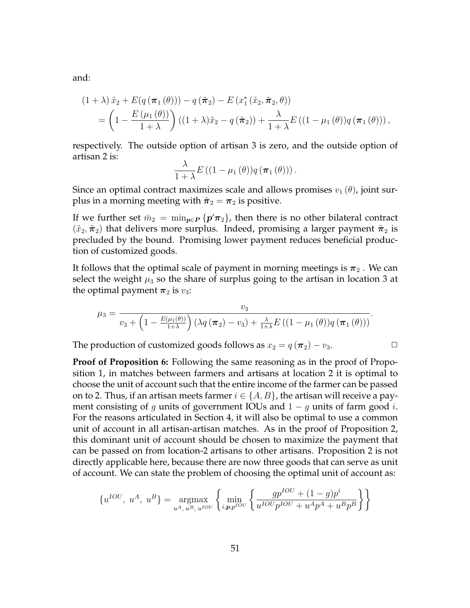and:

$$
(1+\lambda)\tilde{x}_2 + E(q(\pi_1(\theta))) - q(\tilde{\pi}_2) - E(x_1^*(\tilde{x}_2, \tilde{\pi}_2, \theta))
$$
  
= 
$$
\left(1 - \frac{E(\mu_1(\theta))}{1+\lambda}\right)((1+\lambda)\tilde{x}_2 - q(\tilde{\pi}_2)) + \frac{\lambda}{1+\lambda}E((1-\mu_1(\theta))q(\pi_1(\theta))),
$$

respectively. The outside option of artisan 3 is zero, and the outside option of artisan 2 is:

$$
\frac{\lambda}{1+\lambda}E((1-\mu_1(\theta))q(\boldsymbol{\pi}_1(\theta))).
$$

Since an optimal contract maximizes scale and allows promises  $v_1(\theta)$ , joint surplus in a morning meeting with  $\tilde{\pi}_2 = \pi_2$  is positive.

If we further set  $\bar{m}_2 = \min_{p \in P} \{p' \pi_2\}$ , then there is no other bilateral contract  $(\tilde{x}_2, \tilde{\pi}_2)$  that delivers more surplus. Indeed, promising a larger payment  $\tilde{\pi}_2$  is precluded by the bound. Promising lower payment reduces beneficial production of customized goods.

It follows that the optimal scale of payment in morning meetings is  $\pi_2$ . We can select the weight  $\mu_3$  so the share of surplus going to the artisan in location 3 at the optimal payment  $\pi_2$  is  $v_3$ :

$$
\mu_3 = \frac{v_3}{v_3 + \left(1 - \frac{E(\mu_1(\theta))}{1 + \lambda}\right) \left(\lambda q \left(\pi_2\right) - v_3\right) + \frac{\lambda}{1 + \lambda} E\left((1 - \mu_1(\theta))q \left(\pi_1(\theta)\right)\right)}.
$$

The production of customized goods follows as  $x_2 = q(\pi_2) - v_3$ .

**Proof of Proposition 6:** Following the same reasoning as in the proof of Proposition 1, in matches between farmers and artisans at location 2 it is optimal to choose the unit of account such that the entire income of the farmer can be passed on to 2. Thus, if an artisan meets farmer  $i \in \{A, B\}$ , the artisan will receive a payment consisting of *g* units of government IOUs and 1 *− g* units of farm good *i*. For the reasons articulated in Section 4, it will also be optimal to use a common unit of account in all artisan-artisan matches. As in the proof of Proposition 2, this dominant unit of account should be chosen to maximize the payment that can be passed on from location-2 artisans to other artisans. Proposition 2 is not directly applicable here, because there are now three goods that can serve as unit of account. We can state the problem of choosing the optimal unit of account as:

$$
\{u^{IOU},\ u^{A},\ u^{B}\}=\underset{u^{A},\ u^{B},\ u^{IOU}}{\text{argmax}}\left\{\underset{i,p,p^{IOU}}{\text{min}}\left\{\frac{gp^{IOU}+(1-g)p^{i}}{u^{IOU}p^{IOU}+u^{A}p^{A}+u^{B}p^{B}}\right\}\right\}
$$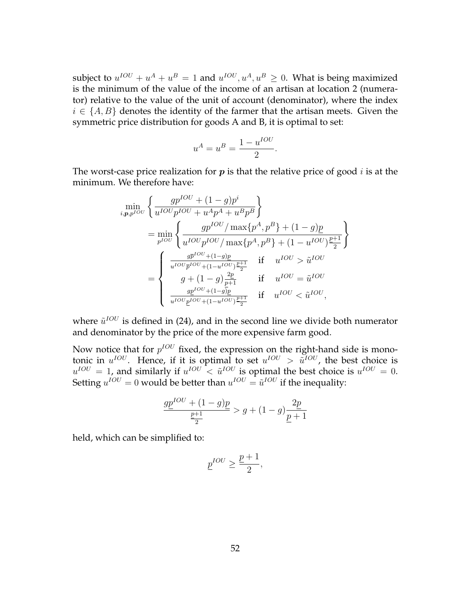subject to  $u^{IOU} + u^A + u^B = 1$  and  $u^{IOU}, u^A, u^B \ge 0$ . What is being maximized is the minimum of the value of the income of an artisan at location 2 (numerator) relative to the value of the unit of account (denominator), where the index  $i \in \{A, B\}$  denotes the identity of the farmer that the artisan meets. Given the symmetric price distribution for goods A and B, it is optimal to set:

$$
u^A = u^B = \frac{1 - u^{IOU}}{2}.
$$

The worst-case price realization for *p* is that the relative price of good *i* is at the minimum. We therefore have:

$$
\min_{i,p,p^{IOU}} \left\{ \frac{gp^{IOU} + (1 - g)p^i}{u^{IOU}p^{IOU} + u^A p^A + u^B p^B} \right\}
$$
\n
$$
= \min_{p^{IOU}} \left\{ \frac{gp^{IOU} / \max\{p^A, p^B\} + (1 - g)p}{u^{IOU}p^{IOU} / \max\{p^A, p^B\} + (1 - u^{IOU})\frac{p+1}{2}} \right\}
$$
\n
$$
= \left\{ \begin{array}{ll} \frac{gp^{IOU} + (1 - g)p}{u^{IOU}p^{IOU} + (1 - u^{IOU})\frac{p+1}{2}} & \text{if } u^{IOU} > \tilde{u}^{IOU} \\ g + (1 - g)\frac{2p}{p+1} & \text{if } u^{IOU} = \tilde{u}^{IOU} \\ \frac{gp^{IOU} + (1 - g)p}{u^{IOU}p^{IOU} + (1 - u^{IOU})\frac{p+1}{2}} & \text{if } u^{IOU} < \tilde{u}^{IOU}, \end{array} \right.
$$

where  $\tilde{u}^{IOU}$  is defined in (24), and in the second line we divide both numerator and denominator by the price of the more expensive farm good.

Now notice that for  $p^{IOU}$  fixed, the expression on the right-hand side is monotonic in  $u^{IOU}$ . Hence, if it is optimal to set  $u^{IOU} > \tilde{u}^{IOU}$ , the best choice is  $u^{IOU} = 1$ , and similarly if  $u^{IOU} < \tilde{u}^{IOU}$  is optimal the best choice is  $u^{IOU} = 0$ . Setting  $u^{IOU} = 0$  would be better than  $u^{IOU} = \tilde{u}^{IOU}$  if the inequality:

$$
\frac{g\underline{p}^{IOU} + (1 - g)\underline{p}}{\frac{\underline{p}+1}{2}} > g + (1 - g)\frac{2\underline{p}}{\underline{p}+1}
$$

held, which can be simplified to:

$$
\underline{p}^{IOU} \ge \frac{\underline{p}+1}{2},
$$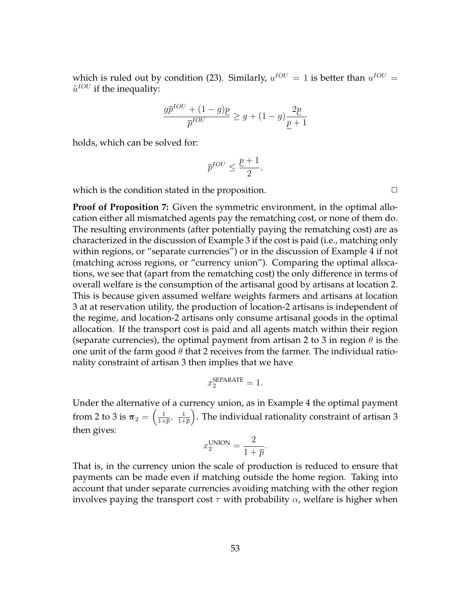which is ruled out by condition (23). Similarly,  $u^{IOU} = 1$  is better than  $u^{IOU} =$  $\tilde{u}^{IOU}$  if the inequality:

$$
\frac{g\overline{p}^{IOU}+(1-g)\underline{p}}{\overline{p}^{IOU}}\ge g+(1-g)\frac{2\underline{p}}{p+1}
$$

holds, which can be solved for:

$$
\overline{p}^{IOU}\leq \frac{\underline{p}+1}{2},
$$

which is the condition stated in the proposition.  $\Box$ 

**Proof of Proposition 7:** Given the symmetric environment, in the optimal allocation either all mismatched agents pay the rematching cost, or none of them do. The resulting environments (after potentially paying the rematching cost) are as characterized in the discussion of Example 3 if the cost is paid (i.e., matching only within regions, or "separate currencies") or in the discussion of Example 4 if not (matching across regions, or "currency union"). Comparing the optimal allocations, we see that (apart from the rematching cost) the only difference in terms of overall welfare is the consumption of the artisanal good by artisans at location 2. This is because given assumed welfare weights farmers and artisans at location 3 at at reservation utility, the production of location-2 artisans is independent of the regime, and location-2 artisans only consume artisanal goods in the optimal allocation. If the transport cost is paid and all agents match within their region (separate currencies), the optimal payment from artisan 2 to 3 in region *θ* is the one unit of the farm good  $\theta$  that 2 receives from the farmer. The individual rationality constraint of artisan 3 then implies that we have

$$
x_2^{\text{SEPARATE}} = 1.
$$

Under the alternative of a currency union, as in Example 4 the optimal payment from 2 to 3 is  $\pi_2 = \left(\frac{1}{1+\pi}\right)$  $\frac{1}{1+\overline{p}}$ ,  $\frac{1}{1+\overline{p}}$ 1+*p* ) . The individual rationality constraint of artisan 3 then gives:

$$
x_2^{\text{UNION}} = \frac{2}{1 + \overline{p}}.
$$

That is, in the currency union the scale of production is reduced to ensure that payments can be made even if matching outside the home region. Taking into account that under separate currencies avoiding matching with the other region involves paying the transport cost  $\tau$  with probability  $\alpha$ , welfare is higher when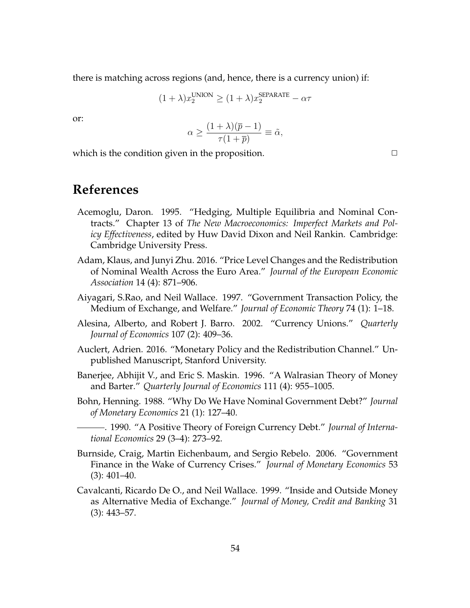there is matching across regions (and, hence, there is a currency union) if:

$$
(1 + \lambda)x_2^{\text{UNION}} \ge (1 + \lambda)x_2^{\text{SEPARATE}} - \alpha \tau
$$

or:

$$
\alpha \ge \frac{(1+\lambda)(\overline{p}-1)}{\tau(1+\overline{p})} \equiv \tilde{\alpha},
$$

which is the condition given in the proposition.  $\Box$ 

## **References**

- Acemoglu, Daron. 1995. "Hedging, Multiple Equilibria and Nominal Contracts." Chapter 13 of *The New Macroeconomics: Imperfect Markets and Policy Effectiveness*, edited by Huw David Dixon and Neil Rankin. Cambridge: Cambridge University Press.
- Adam, Klaus, and Junyi Zhu. 2016. "Price Level Changes and the Redistribution of Nominal Wealth Across the Euro Area." *Journal of the European Economic Association* 14 (4): 871–906.
- Aiyagari, S.Rao, and Neil Wallace. 1997. "Government Transaction Policy, the Medium of Exchange, and Welfare." *Journal of Economic Theory* 74 (1): 1–18.
- Alesina, Alberto, and Robert J. Barro. 2002. "Currency Unions." *Quarterly Journal of Economics* 107 (2): 409–36.
- Auclert, Adrien. 2016. "Monetary Policy and the Redistribution Channel." Unpublished Manuscript, Stanford University.
- Banerjee, Abhijit V., and Eric S. Maskin. 1996. "A Walrasian Theory of Money and Barter." *Quarterly Journal of Economics* 111 (4): 955–1005.
- Bohn, Henning. 1988. "Why Do We Have Nominal Government Debt?" *Journal of Monetary Economics* 21 (1): 127–40.
	- . 1990. "A Positive Theory of Foreign Currency Debt." *Journal of International Economics* 29 (3–4): 273–92.
- Burnside, Craig, Martin Eichenbaum, and Sergio Rebelo. 2006. "Government Finance in the Wake of Currency Crises." *Journal of Monetary Economics* 53 (3): 401–40.
- Cavalcanti, Ricardo De O., and Neil Wallace. 1999. "Inside and Outside Money as Alternative Media of Exchange." *Journal of Money, Credit and Banking* 31 (3): 443–57.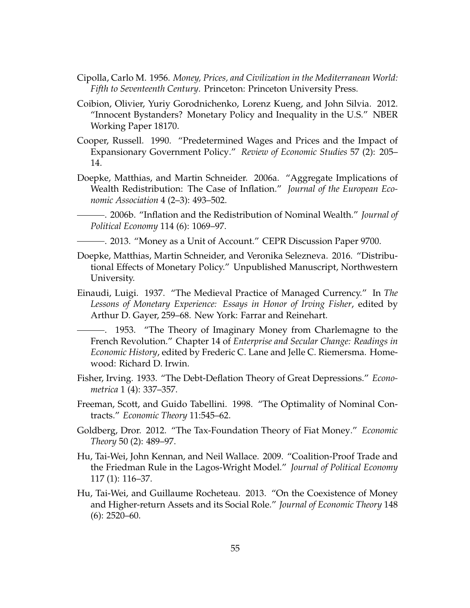- Cipolla, Carlo M. 1956. *Money, Prices, and Civilization in the Mediterranean World: Fifth to Seventeenth Century*. Princeton: Princeton University Press.
- Coibion, Olivier, Yuriy Gorodnichenko, Lorenz Kueng, and John Silvia. 2012. "Innocent Bystanders? Monetary Policy and Inequality in the U.S." NBER Working Paper 18170.
- Cooper, Russell. 1990. "Predetermined Wages and Prices and the Impact of Expansionary Government Policy." *Review of Economic Studies* 57 (2): 205– 14.
- Doepke, Matthias, and Martin Schneider. 2006a. "Aggregate Implications of Wealth Redistribution: The Case of Inflation." *Journal of the European Economic Association* 4 (2–3): 493–502.
- . 2006b. "Inflation and the Redistribution of Nominal Wealth." *Journal of Political Economy* 114 (6): 1069–97.
	- . 2013. "Money as a Unit of Account." CEPR Discussion Paper 9700.
- Doepke, Matthias, Martin Schneider, and Veronika Selezneva. 2016. "Distributional Effects of Monetary Policy." Unpublished Manuscript, Northwestern University.
- Einaudi, Luigi. 1937. "The Medieval Practice of Managed Currency." In *The Lessons of Monetary Experience: Essays in Honor of Irving Fisher*, edited by Arthur D. Gayer, 259–68. New York: Farrar and Reinehart.
	- . 1953. "The Theory of Imaginary Money from Charlemagne to the French Revolution." Chapter 14 of *Enterprise and Secular Change: Readings in Economic History*, edited by Frederic C. Lane and Jelle C. Riemersma. Homewood: Richard D. Irwin.
- Fisher, Irving. 1933. "The Debt-Deflation Theory of Great Depressions." *Econometrica* 1 (4): 337–357.
- Freeman, Scott, and Guido Tabellini. 1998. "The Optimality of Nominal Contracts." *Economic Theory* 11:545–62.
- Goldberg, Dror. 2012. "The Tax-Foundation Theory of Fiat Money." *Economic Theory* 50 (2): 489–97.
- Hu, Tai-Wei, John Kennan, and Neil Wallace. 2009. "Coalition-Proof Trade and the Friedman Rule in the Lagos-Wright Model." *Journal of Political Economy* 117 (1): 116–37.
- Hu, Tai-Wei, and Guillaume Rocheteau. 2013. "On the Coexistence of Money and Higher-return Assets and its Social Role." *Journal of Economic Theory* 148 (6): 2520–60.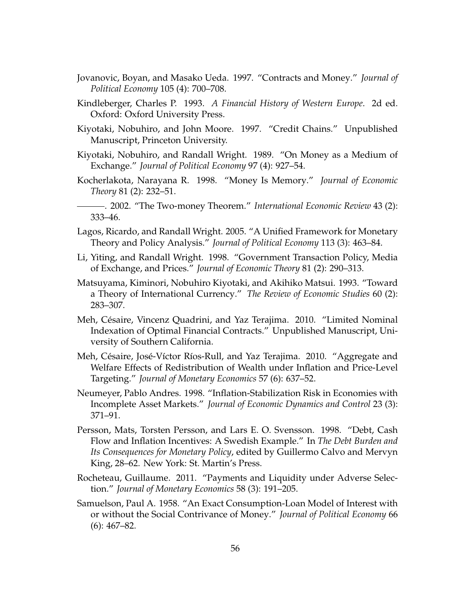- Jovanovic, Boyan, and Masako Ueda. 1997. "Contracts and Money." *Journal of Political Economy* 105 (4): 700–708.
- Kindleberger, Charles P. 1993. *A Financial History of Western Europe*. 2d ed. Oxford: Oxford University Press.
- Kiyotaki, Nobuhiro, and John Moore. 1997. "Credit Chains." Unpublished Manuscript, Princeton University.
- Kiyotaki, Nobuhiro, and Randall Wright. 1989. "On Money as a Medium of Exchange." *Journal of Political Economy* 97 (4): 927–54.
- Kocherlakota, Narayana R. 1998. "Money Is Memory." *Journal of Economic Theory* 81 (2): 232–51.
- . 2002. "The Two-money Theorem." *International Economic Review* 43 (2): 333–46.
- Lagos, Ricardo, and Randall Wright. 2005. "A Unified Framework for Monetary Theory and Policy Analysis." *Journal of Political Economy* 113 (3): 463–84.
- Li, Yiting, and Randall Wright. 1998. "Government Transaction Policy, Media of Exchange, and Prices." *Journal of Economic Theory* 81 (2): 290–313.
- Matsuyama, Kiminori, Nobuhiro Kiyotaki, and Akihiko Matsui. 1993. "Toward a Theory of International Currency." *The Review of Economic Studies* 60 (2): 283–307.
- Meh, Césaire, Vincenz Quadrini, and Yaz Terajima. 2010. "Limited Nominal Indexation of Optimal Financial Contracts." Unpublished Manuscript, University of Southern California.
- Meh, Césaire, José-Víctor Ríos-Rull, and Yaz Terajima. 2010. "Aggregate and Welfare Effects of Redistribution of Wealth under Inflation and Price-Level Targeting." *Journal of Monetary Economics* 57 (6): 637–52.
- Neumeyer, Pablo Andres. 1998. "Inflation-Stabilization Risk in Economies with Incomplete Asset Markets." *Journal of Economic Dynamics and Control* 23 (3): 371–91.
- Persson, Mats, Torsten Persson, and Lars E. O. Svensson. 1998. "Debt, Cash Flow and Inflation Incentives: A Swedish Example." In *The Debt Burden and Its Consequences for Monetary Policy*, edited by Guillermo Calvo and Mervyn King, 28–62. New York: St. Martin's Press.
- Rocheteau, Guillaume. 2011. "Payments and Liquidity under Adverse Selection." *Journal of Monetary Economics* 58 (3): 191–205.
- Samuelson, Paul A. 1958. "An Exact Consumption-Loan Model of Interest with or without the Social Contrivance of Money." *Journal of Political Economy* 66 (6): 467–82.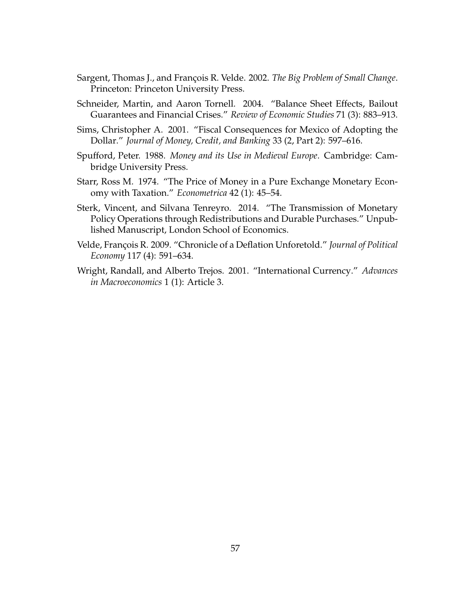- Sargent, Thomas J., and François R. Velde. 2002. *The Big Problem of Small Change*. Princeton: Princeton University Press.
- Schneider, Martin, and Aaron Tornell. 2004. "Balance Sheet Effects, Bailout Guarantees and Financial Crises." *Review of Economic Studies* 71 (3): 883–913.
- Sims, Christopher A. 2001. "Fiscal Consequences for Mexico of Adopting the Dollar." *Journal of Money, Credit, and Banking* 33 (2, Part 2): 597–616.
- Spufford, Peter. 1988. *Money and its Use in Medieval Europe*. Cambridge: Cambridge University Press.
- Starr, Ross M. 1974. "The Price of Money in a Pure Exchange Monetary Economy with Taxation." *Econometrica* 42 (1): 45–54.
- Sterk, Vincent, and Silvana Tenreyro. 2014. "The Transmission of Monetary Policy Operations through Redistributions and Durable Purchases." Unpublished Manuscript, London School of Economics.
- Velde, François R. 2009. "Chronicle of a Deflation Unforetold." *Journal of Political Economy* 117 (4): 591–634.
- Wright, Randall, and Alberto Trejos. 2001. "International Currency." *Advances in Macroeconomics* 1 (1): Article 3.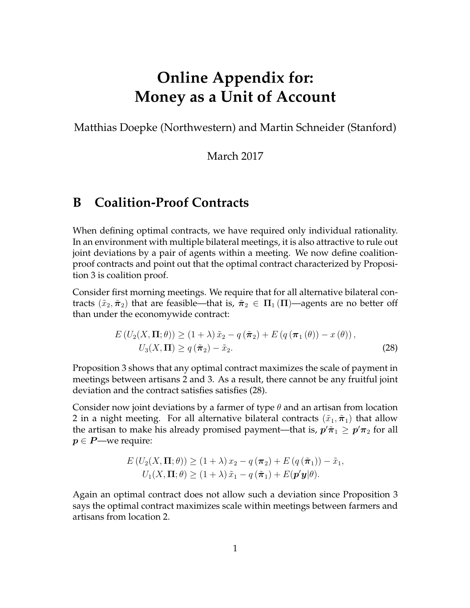# **Online Appendix for: Money as a Unit of Account**

Matthias Doepke (Northwestern) and Martin Schneider (Stanford)

March 2017

## **B Coalition-Proof Contracts**

When defining optimal contracts, we have required only individual rationality. In an environment with multiple bilateral meetings, it is also attractive to rule out joint deviations by a pair of agents within a meeting. We now define coalitionproof contracts and point out that the optimal contract characterized by Proposition 3 is coalition proof.

Consider first morning meetings. We require that for all alternative bilateral contracts  $(\tilde{x}_2, \tilde{\pi}_2)$  that are feasible—that is,  $\tilde{\pi}_2 \in \Pi_1(\Pi)$ —agents are no better off than under the economywide contract:

$$
E\left(U_2(X,\Pi;\theta)\right) \ge (1+\lambda)\,\tilde{x}_2 - q\left(\tilde{\pi}_2\right) + E\left(q\left(\pi_1\left(\theta\right)\right) - x\left(\theta\right)\right),
$$
  

$$
U_3(X,\Pi) \ge q\left(\tilde{\pi}_2\right) - \tilde{x}_2.
$$
 (28)

Proposition 3 shows that any optimal contract maximizes the scale of payment in meetings between artisans 2 and 3. As a result, there cannot be any fruitful joint deviation and the contract satisfies satisfies (28).

Consider now joint deviations by a farmer of type *θ* and an artisan from location 2 in a night meeting. For all alternative bilateral contracts  $(\tilde{x}_1, \tilde{\pi}_1)$  that allow the artisan to make his already promised payment—that is,  $p'\tilde{\pi}_1\geq p'\pi_2$  for all *p* ∈ *P*—we require:

$$
E(U_2(X, \Pi; \theta)) \ge (1 + \lambda) x_2 - q(\pi_2) + E(q(\tilde{\pi}_1)) - \tilde{x}_1,
$$
  

$$
U_1(X, \Pi; \theta) \ge (1 + \lambda) \tilde{x}_1 - q(\tilde{\pi}_1) + E(\mathbf{p}'\mathbf{y}|\theta).
$$

Again an optimal contract does not allow such a deviation since Proposition 3 says the optimal contract maximizes scale within meetings between farmers and artisans from location 2.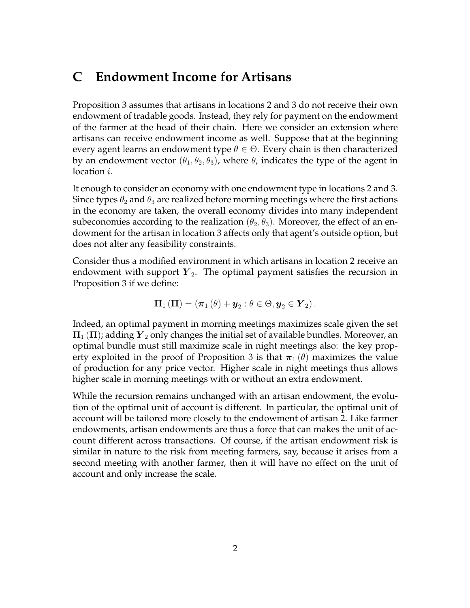## **C Endowment Income for Artisans**

Proposition 3 assumes that artisans in locations 2 and 3 do not receive their own endowment of tradable goods. Instead, they rely for payment on the endowment of the farmer at the head of their chain. Here we consider an extension where artisans can receive endowment income as well. Suppose that at the beginning every agent learns an endowment type *θ ∈* Θ. Every chain is then characterized by an endowment vector  $(\theta_1, \theta_2, \theta_3)$ , where  $\theta_i$  indicates the type of the agent in location *i*.

It enough to consider an economy with one endowment type in locations 2 and 3. Since types  $\theta_2$  and  $\theta_3$  are realized before morning meetings where the first actions in the economy are taken, the overall economy divides into many independent subeconomies according to the realization  $(\theta_2, \theta_3)$ . Moreover, the effect of an endowment for the artisan in location 3 affects only that agent's outside option, but does not alter any feasibility constraints.

Consider thus a modified environment in which artisans in location 2 receive an endowment with support  $Y_2$ . The optimal payment satisfies the recursion in Proposition 3 if we define:

$$
\Pi_1(\Pi)=(\pi_1(\theta)+\boldsymbol{y}_2:\theta\in\Theta,\boldsymbol{y}_2\in\boldsymbol{Y}_2)\,.
$$

Indeed, an optimal payment in morning meetings maximizes scale given the set  $\Pi_1(\Pi)$ ; adding  $Y_2$  only changes the initial set of available bundles. Moreover, an optimal bundle must still maximize scale in night meetings also: the key property exploited in the proof of Proposition 3 is that  $\pi_1(\theta)$  maximizes the value of production for any price vector. Higher scale in night meetings thus allows higher scale in morning meetings with or without an extra endowment.

While the recursion remains unchanged with an artisan endowment, the evolution of the optimal unit of account is different. In particular, the optimal unit of account will be tailored more closely to the endowment of artisan 2. Like farmer endowments, artisan endowments are thus a force that can makes the unit of account different across transactions. Of course, if the artisan endowment risk is similar in nature to the risk from meeting farmers, say, because it arises from a second meeting with another farmer, then it will have no effect on the unit of account and only increase the scale.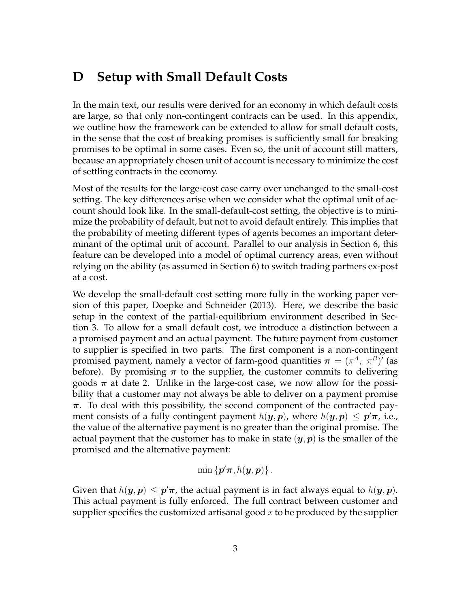## **D Setup with Small Default Costs**

In the main text, our results were derived for an economy in which default costs are large, so that only non-contingent contracts can be used. In this appendix, we outline how the framework can be extended to allow for small default costs, in the sense that the cost of breaking promises is sufficiently small for breaking promises to be optimal in some cases. Even so, the unit of account still matters, because an appropriately chosen unit of account is necessary to minimize the cost of settling contracts in the economy.

Most of the results for the large-cost case carry over unchanged to the small-cost setting. The key differences arise when we consider what the optimal unit of account should look like. In the small-default-cost setting, the objective is to minimize the probability of default, but not to avoid default entirely. This implies that the probability of meeting different types of agents becomes an important determinant of the optimal unit of account. Parallel to our analysis in Section 6, this feature can be developed into a model of optimal currency areas, even without relying on the ability (as assumed in Section 6) to switch trading partners ex-post at a cost.

We develop the small-default cost setting more fully in the working paper version of this paper, Doepke and Schneider (2013). Here, we describe the basic setup in the context of the partial-equilibrium environment described in Section 3. To allow for a small default cost, we introduce a distinction between a a promised payment and an actual payment. The future payment from customer to supplier is specified in two parts. The first component is a non-contingent promised payment, namely a vector of farm-good quantities  $\boldsymbol{\pi} = (\pi^A, \ \pi^B)'$  (as before). By promising  $\pi$  to the supplier, the customer commits to delivering goods  $\pi$  at date 2. Unlike in the large-cost case, we now allow for the possibility that a customer may not always be able to deliver on a payment promise *π*. To deal with this possibility, the second component of the contracted payment consists of a fully contingent payment  $h(\bm{y},\bm{p})$ , where  $h(\bm{y},\bm{p})\,\leq\,\bm{p}'\bm{\pi}$ , i.e., the value of the alternative payment is no greater than the original promise. The actual payment that the customer has to make in state  $(y, p)$  is the smaller of the promised and the alternative payment:

$$
\min\left\{\boldsymbol{p}'\boldsymbol{\pi},h(\boldsymbol{y},\boldsymbol{p})\right\}.
$$

Given that  $h(\bm{y}, \bm{p}) \leq \bm{p}'\bm{\pi}$ , the actual payment is in fact always equal to  $h(\bm{y}, \bm{p})$ . This actual payment is fully enforced. The full contract between customer and supplier specifies the customized artisanal good *x* to be produced by the supplier